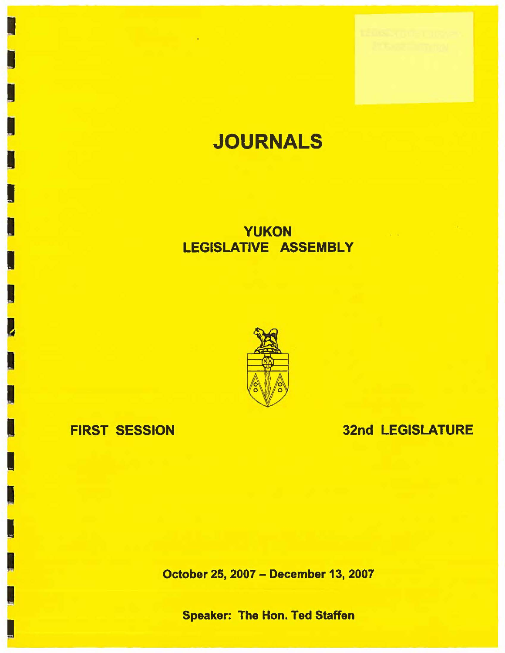# **JOURNALS**

## **YUKON** LEGISLATIVE **ASSEMBLY**



## FIRST SESSION

I

I

I

I

I

**I** 

I

**I** 

## 32nd LEGISLATURE

October 25, 2007 - December 13, 2007

Speaker: The Hon. Ted Staffen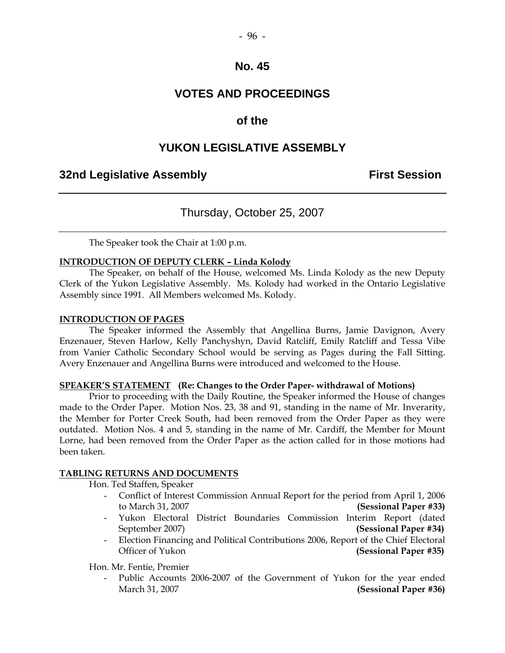#### $-96 -$

#### **No. 45**

## **VOTES AND PROCEEDINGS**

## **of the**

## **YUKON LEGISLATIVE ASSEMBLY**

#### **32nd Legislative Assembly First Session**

## Thursday, October 25, 2007

The Speaker took the Chair at 1:00 p.m.

#### **INTRODUCTION OF DEPUTY CLERK – Linda Kolody**

 The Speaker, on behalf of the House, welcomed Ms. Linda Kolody as the new Deputy Clerk of the Yukon Legislative Assembly. Ms. Kolody had worked in the Ontario Legislative Assembly since 1991. All Members welcomed Ms. Kolody.

#### **INTRODUCTION OF PAGES**

 The Speaker informed the Assembly that Angellina Burns, Jamie Davignon, Avery Enzenauer, Steven Harlow, Kelly Panchyshyn, David Ratcliff, Emily Ratcliff and Tessa Vibe from Vanier Catholic Secondary School would be serving as Pages during the Fall Sitting. Avery Enzenauer and Angellina Burns were introduced and welcomed to the House.

#### **SPEAKER'S STATEMENT (Re: Changes to the Order Paper- withdrawal of Motions)**

 Prior to proceeding with the Daily Routine, the Speaker informed the House of changes made to the Order Paper. Motion Nos. 23, 38 and 91, standing in the name of Mr. Inverarity, the Member for Porter Creek South, had been removed from the Order Paper as they were outdated. Motion Nos. 4 and 5, standing in the name of Mr. Cardiff, the Member for Mount Lorne, had been removed from the Order Paper as the action called for in those motions had been taken.

#### **TABLING RETURNS AND DOCUMENTS**

Hon. Ted Staffen, Speaker

- Conflict of Interest Commission Annual Report for the period from April 1, 2006 to March 31, 2007 **(Sessional Paper #33)**
- Yukon Electoral District Boundaries Commission Interim Report (dated September 2007) **(Sessional Paper #34)**
- Election Financing and Political Contributions 2006, Report of the Chief Electoral Officer of Yukon **(Sessional Paper #35)**

Hon. Mr. Fentie, Premier

Public Accounts 2006-2007 of the Government of Yukon for the year ended March 31, 2007 **(Sessional Paper #36)**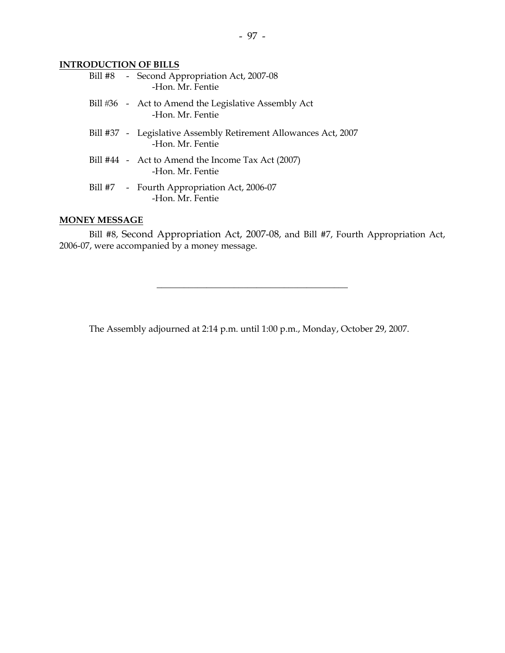#### **INTRODUCTION OF BILLS**

|  | Bill #8 - Second Appropriation Act, 2007-08<br>-Hon. Mr. Fentie                     |
|--|-------------------------------------------------------------------------------------|
|  | Bill #36 - Act to Amend the Legislative Assembly Act<br>-Hon. Mr. Fentie            |
|  | Bill #37 - Legislative Assembly Retirement Allowances Act, 2007<br>-Hon, Mr. Fentie |
|  | Bill #44 - Act to Amend the Income Tax Act (2007)<br>-Hon, Mr. Fentie               |
|  | Bill #7 - Fourth Appropriation Act, 2006-07<br>-Hon. Mr. Fentie                     |
|  |                                                                                     |

#### **MONEY MESSAGE**

 Bill #8, Second Appropriation Act, 2007-08, and Bill #7, Fourth Appropriation Act, 2006-07, were accompanied by a money message.

\_\_\_\_\_\_\_\_\_\_\_\_\_\_\_\_\_\_\_\_\_\_\_\_\_\_\_\_\_\_\_\_\_\_\_\_\_\_\_\_\_\_

The Assembly adjourned at 2:14 p.m. until 1:00 p.m., Monday, October 29, 2007.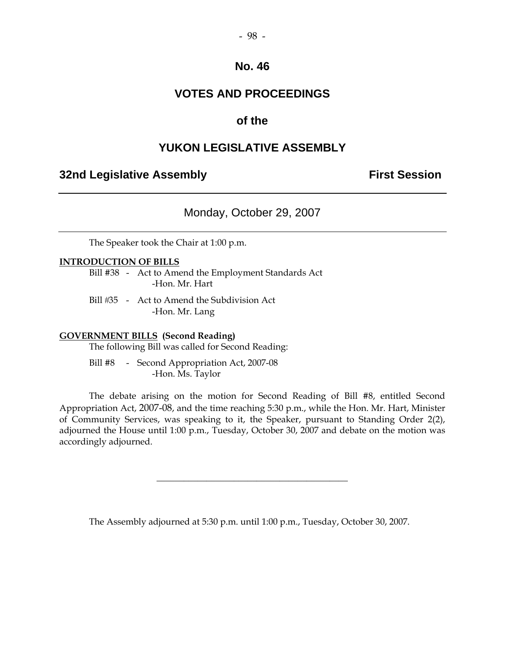#### $-98-$

#### **No. 46**

## **VOTES AND PROCEEDINGS**

## **of the**

#### **YUKON LEGISLATIVE ASSEMBLY**

## **32nd Legislative Assembly The Contract Session**

Monday, October 29, 2007

The Speaker took the Chair at 1:00 p.m.

#### **INTRODUCTION OF BILLS**

 Bill #38 - Act to Amend the Employment Standards Act -Hon. Mr. Hart

Bill #35 - Act to Amend the Subdivision Act -Hon. Mr. Lang

#### **GOVERNMENT BILLS (Second Reading)**

The following Bill was called for Second Reading:

 Bill #8 - Second Appropriation Act, 2007-08 -Hon. Ms. Taylor

 The debate arising on the motion for Second Reading of Bill #8, entitled Second Appropriation Act, 2007-08, and the time reaching 5:30 p.m., while the Hon. Mr. Hart, Minister of Community Services, was speaking to it, the Speaker, pursuant to Standing Order 2(2), adjourned the House until 1:00 p.m., Tuesday, October 30, 2007 and debate on the motion was accordingly adjourned.

\_\_\_\_\_\_\_\_\_\_\_\_\_\_\_\_\_\_\_\_\_\_\_\_\_\_\_\_\_\_\_\_\_\_\_\_\_\_\_\_\_\_

The Assembly adjourned at 5:30 p.m. until 1:00 p.m., Tuesday, October 30, 2007.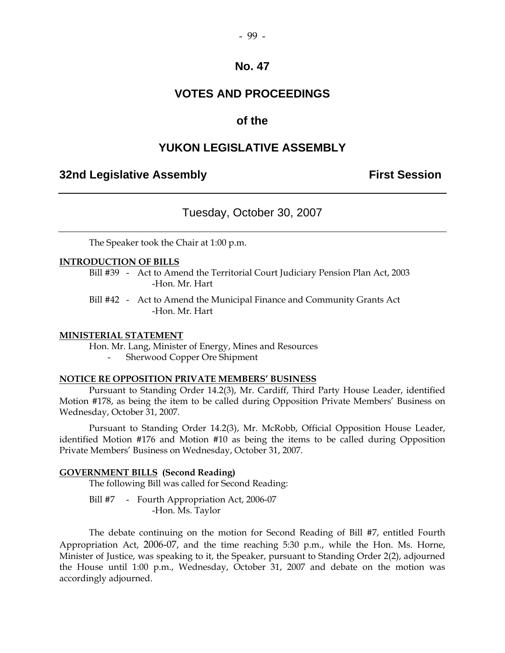#### $-99 -$

#### **No. 47**

## **VOTES AND PROCEEDINGS**

## **of the**

#### **YUKON LEGISLATIVE ASSEMBLY**

## **32nd Legislative Assembly The Contract Session**

#### Tuesday, October 30, 2007

The Speaker took the Chair at 1:00 p.m.

#### **INTRODUCTION OF BILLS**

 Bill #39 - Act to Amend the Territorial Court Judiciary Pension Plan Act, 2003 -Hon. Mr. Hart

 Bill #42 - Act to Amend the Municipal Finance and Community Grants Act -Hon. Mr. Hart

#### **MINISTERIAL STATEMENT**

Hon. Mr. Lang, Minister of Energy, Mines and Resources

Sherwood Copper Ore Shipment

#### **NOTICE RE OPPOSITION PRIVATE MEMBERS' BUSINESS**

 Pursuant to Standing Order 14.2(3), Mr. Cardiff, Third Party House Leader, identified Motion #178, as being the item to be called during Opposition Private Members' Business on Wednesday, October 31, 2007.

 Pursuant to Standing Order 14.2(3), Mr. McRobb, Official Opposition House Leader, identified Motion #176 and Motion #10 as being the items to be called during Opposition Private Members' Business on Wednesday, October 31, 2007.

#### **GOVERNMENT BILLS (Second Reading)**

The following Bill was called for Second Reading:

Bill #7 - Fourth Appropriation Act, 2006-07 -Hon. Ms. Taylor

 The debate continuing on the motion for Second Reading of Bill #7, entitled Fourth Appropriation Act, 2006-07, and the time reaching 5:30 p.m., while the Hon. Ms. Horne, Minister of Justice, was speaking to it, the Speaker, pursuant to Standing Order 2(2), adjourned the House until 1:00 p.m., Wednesday, October 31, 2007 and debate on the motion was accordingly adjourned.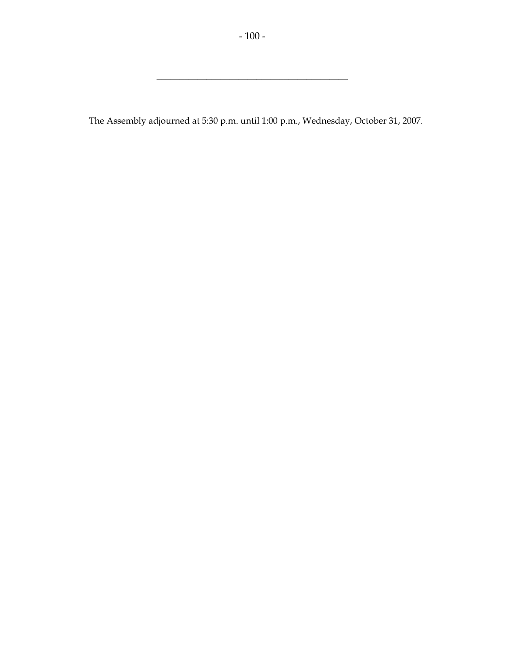\_\_\_\_\_\_\_\_\_\_\_\_\_\_\_\_\_\_\_\_\_\_\_\_\_\_\_\_\_\_\_\_\_\_\_\_\_\_\_\_\_\_

The Assembly adjourned at 5:30 p.m. until 1:00 p.m., Wednesday, October 31, 2007.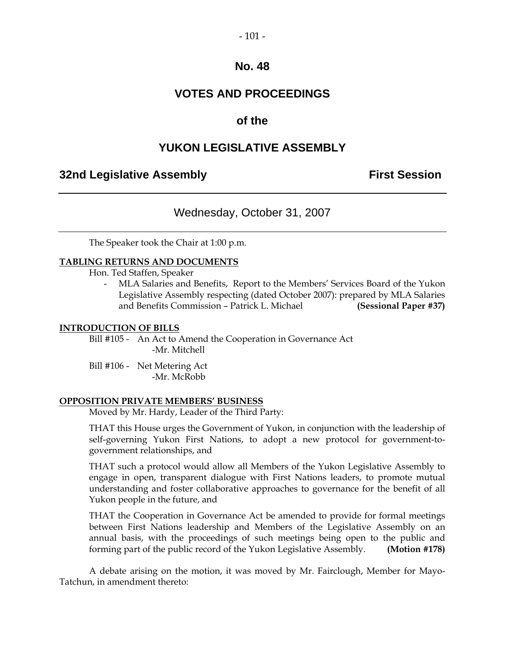#### $-101 -$

#### **No. 48**

## **VOTES AND PROCEEDINGS**

## **of the**

## **YUKON LEGISLATIVE ASSEMBLY**

## **32nd Legislative Assembly The Contract Session**

## Wednesday, October 31, 2007

The Speaker took the Chair at 1:00 p.m.

#### **TABLING RETURNS AND DOCUMENTS**

Hon. Ted Staffen, Speaker

 - MLA Salaries and Benefits, Report to the Members' Services Board of the Yukon Legislative Assembly respecting (dated October 2007): prepared by MLA Salaries and Benefits Commission – Patrick L. Michael **(Sessional Paper #37)** 

#### **INTRODUCTION OF BILLS**

 Bill #105 - An Act to Amend the Cooperation in Governance Act -Mr. Mitchell

 Bill #106 - Net Metering Act -Mr. McRobb

#### **OPPOSITION PRIVATE MEMBERS' BUSINESS**

Moved by Mr. Hardy, Leader of the Third Party:

 THAT this House urges the Government of Yukon, in conjunction with the leadership of self-governing Yukon First Nations, to adopt a new protocol for government-togovernment relationships, and

 THAT such a protocol would allow all Members of the Yukon Legislative Assembly to engage in open, transparent dialogue with First Nations leaders, to promote mutual understanding and foster collaborative approaches to governance for the benefit of all Yukon people in the future, and

 THAT the Cooperation in Governance Act be amended to provide for formal meetings between First Nations leadership and Members of the Legislative Assembly on an annual basis, with the proceedings of such meetings being open to the public and forming part of the public record of the Yukon Legislative Assembly. **(Motion #178)** 

 A debate arising on the motion, it was moved by Mr. Fairclough, Member for Mayo-Tatchun, in amendment thereto: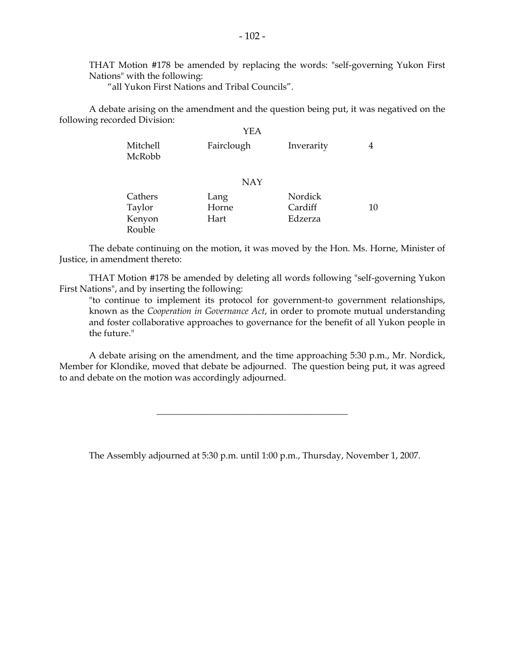THAT Motion #178 be amended by replacing the words: "self-governing Yukon First Nations" with the following:

"all Yukon First Nations and Tribal Councils".

 A debate arising on the amendment and the question being put, it was negatived on the following recorded Division:

|                    | YEA        |            |    |
|--------------------|------------|------------|----|
| Mitchell<br>McRobb | Fairclough | Inverarity | 4  |
|                    | <b>NAY</b> |            |    |
| Cathers            | Lang       | Nordick    |    |
| Taylor             | Horne      | Cardiff    | 10 |
| Kenyon             | Hart       | Edzerza    |    |
| Rouble             |            |            |    |

 The debate continuing on the motion, it was moved by the Hon. Ms. Horne, Minister of Justice, in amendment thereto:

THAT Motion #178 be amended by deleting all words following "self-governing Yukon First Nations", and by inserting the following:

"to continue to implement its protocol for government-to government relationships, known as the *Cooperation in Governance Act*, in order to promote mutual understanding and foster collaborative approaches to governance for the benefit of all Yukon people in the future."

 A debate arising on the amendment, and the time approaching 5:30 p.m., Mr. Nordick, Member for Klondike, moved that debate be adjourned. The question being put, it was agreed to and debate on the motion was accordingly adjourned.

The Assembly adjourned at 5:30 p.m. until 1:00 p.m., Thursday, November 1, 2007.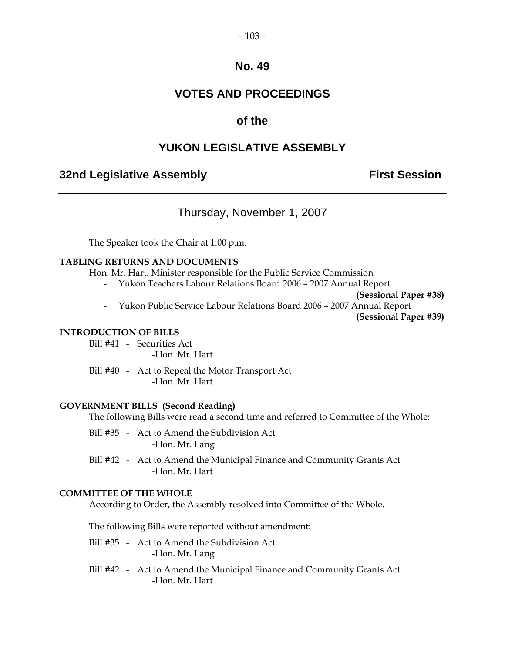#### $-103 -$

## **No. 49**

## **VOTES AND PROCEEDINGS**

## **of the**

## **YUKON LEGISLATIVE ASSEMBLY**

## **32nd Legislative Assembly First Session**

## Thursday, November 1, 2007

The Speaker took the Chair at 1:00 p.m.

#### **TABLING RETURNS AND DOCUMENTS**

Hon. Mr. Hart, Minister responsible for the Public Service Commission

- Yukon Teachers Labour Relations Board 2006 – 2007 Annual Report

**(Sessional Paper #38)** 

- Yukon Public Service Labour Relations Board 2006 – 2007 Annual Report

**(Sessional Paper #39)** 

#### **INTRODUCTION OF BILLS**

 Bill #41 - Securities Act -Hon. Mr. Hart

 Bill #40 - Act to Repeal the Motor Transport Act -Hon. Mr. Hart

#### **GOVERNMENT BILLS (Second Reading)**

The following Bills were read a second time and referred to Committee of the Whole:

- Bill #35 Act to Amend the Subdivision Act -Hon. Mr. Lang
- Bill #42 Act to Amend the Municipal Finance and Community Grants Act -Hon. Mr. Hart

#### **COMMITTEE OF THE WHOLE**

According to Order, the Assembly resolved into Committee of the Whole.

The following Bills were reported without amendment:

- Bill #35 Act to Amend the Subdivision Act -Hon. Mr. Lang
- Bill #42 Act to Amend the Municipal Finance and Community Grants Act -Hon. Mr. Hart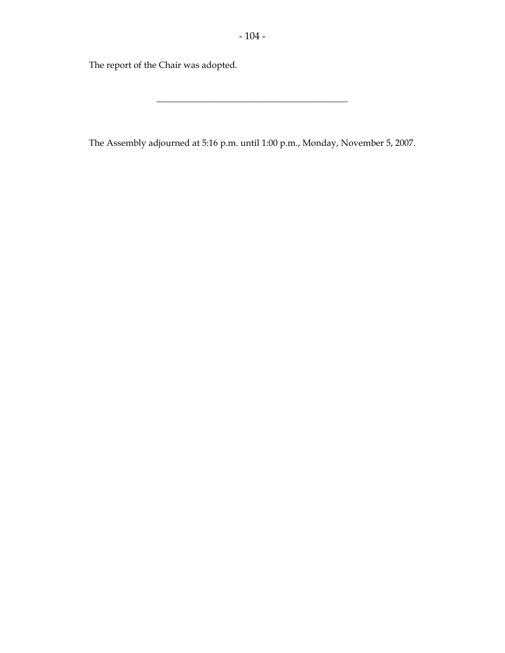The report of the Chair was adopted.

The Assembly adjourned at 5:16 p.m. until 1:00 p.m., Monday, November 5, 2007.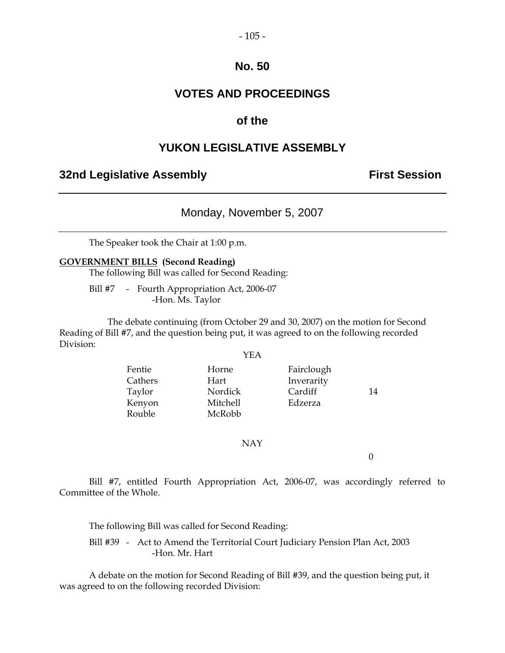#### $-105 -$

## **No. 50**

## **VOTES AND PROCEEDINGS**

## **of the**

## **YUKON LEGISLATIVE ASSEMBLY**

## **32nd Legislative Assembly First Session**

## Monday, November 5, 2007

The Speaker took the Chair at 1:00 p.m.

#### **GOVERNMENT BILLS (Second Reading)**

The following Bill was called for Second Reading:

Bill #7 - Fourth Appropriation Act, 2006-07 -Hon. Ms. Taylor

 The debate continuing (from October 29 and 30, 2007) on the motion for Second Reading of Bill #7, and the question being put, it was agreed to on the following recorded Division:

#### YEA

Fentie Horne Fairclough Cathers Hart Inverarity Taylor Nordick Cardiff 14 Kenyon Mitchell Edzerza Rouble McRobb

NAY

0

 Bill #7, entitled Fourth Appropriation Act, 2006-07, was accordingly referred to Committee of the Whole.

The following Bill was called for Second Reading:

 Bill #39 - Act to Amend the Territorial Court Judiciary Pension Plan Act, 2003 -Hon. Mr. Hart

 A debate on the motion for Second Reading of Bill #39, and the question being put, it was agreed to on the following recorded Division: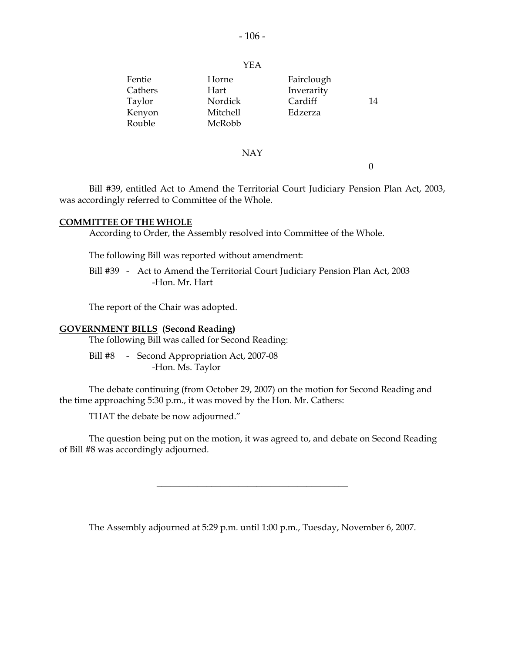#### YEA

| Fentie  | Horne    | Fairclough |    |
|---------|----------|------------|----|
| Cathers | Hart     | Inverarity |    |
| Taylor  | Nordick  | Cardiff    | 14 |
| Kenyon  | Mitchell | Edzerza    |    |
| Rouble  | McRobb   |            |    |
|         |          |            |    |

#### NAY

0

 Bill #39, entitled Act to Amend the Territorial Court Judiciary Pension Plan Act, 2003, was accordingly referred to Committee of the Whole.

#### **COMMITTEE OF THE WHOLE**

According to Order, the Assembly resolved into Committee of the Whole.

The following Bill was reported without amendment:

Bill #39 - Act to Amend the Territorial Court Judiciary Pension Plan Act, 2003 -Hon. Mr. Hart

The report of the Chair was adopted.

#### **GOVERNMENT BILLS (Second Reading)**

The following Bill was called for Second Reading:

Bill #8 - Second Appropriation Act, 2007-08 -Hon. Ms. Taylor

 The debate continuing (from October 29, 2007) on the motion for Second Reading and the time approaching 5:30 p.m., it was moved by the Hon. Mr. Cathers:

THAT the debate be now adjourned."

 The question being put on the motion, it was agreed to, and debate on Second Reading of Bill #8 was accordingly adjourned.

The Assembly adjourned at 5:29 p.m. until 1:00 p.m., Tuesday, November 6, 2007.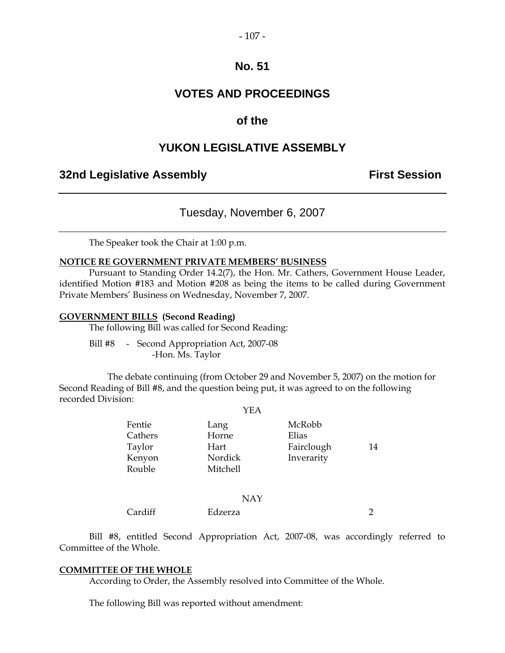#### $-107 -$

## **No. 51**

## **VOTES AND PROCEEDINGS**

## **of the**

## **YUKON LEGISLATIVE ASSEMBLY**

## **32nd Legislative Assembly First Session**

## Tuesday, November 6, 2007

The Speaker took the Chair at 1:00 p.m.

#### **NOTICE RE GOVERNMENT PRIVATE MEMBERS' BUSINESS**

 Pursuant to Standing Order 14.2(7), the Hon. Mr. Cathers, Government House Leader, identified Motion #183 and Motion #208 as being the items to be called during Government Private Members' Business on Wednesday, November 7, 2007.

#### **GOVERNMENT BILLS (Second Reading)**

The following Bill was called for Second Reading:

 Bill #8 - Second Appropriation Act, 2007-08 -Hon. Ms. Taylor

 The debate continuing (from October 29 and November 5, 2007) on the motion for Second Reading of Bill #8, and the question being put, it was agreed to on the following recorded Division:

#### YEA

| Fentie  | Lang     | McRobb     |    |
|---------|----------|------------|----|
| Cathers | Horne    | Elias      |    |
| Taylor  | Hart     | Fairclough | 14 |
| Kenyon  | Nordick  | Inverarity |    |
| Rouble  | Mitchell |            |    |
|         |          |            |    |

#### NAY

Cardiff Edzerza 2

 Bill #8, entitled Second Appropriation Act, 2007-08, was accordingly referred to Committee of the Whole.

#### **COMMITTEE OF THE WHOLE**

According to Order, the Assembly resolved into Committee of the Whole.

The following Bill was reported without amendment: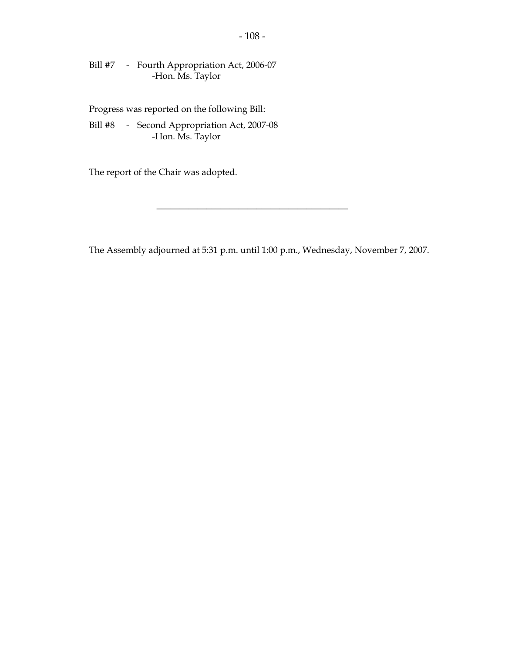Bill #7 - Fourth Appropriation Act, 2006-07 -Hon. Ms. Taylor

Progress was reported on the following Bill:

 Bill #8 - Second Appropriation Act, 2007-08 -Hon. Ms. Taylor

The report of the Chair was adopted.

The Assembly adjourned at 5:31 p.m. until 1:00 p.m., Wednesday, November 7, 2007.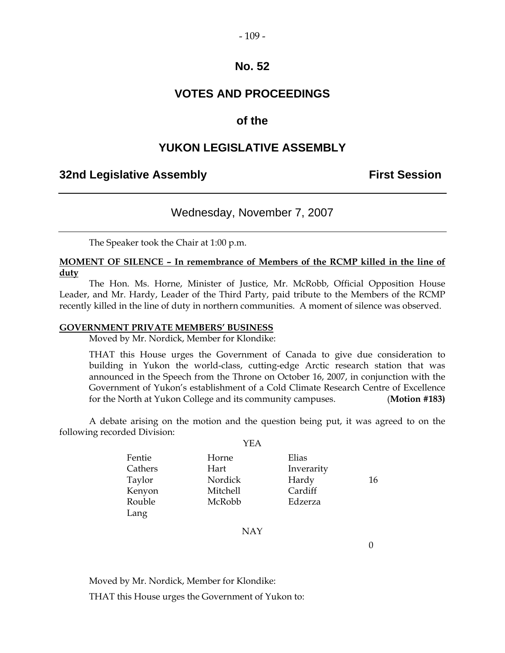#### $-109-$

## **No. 52**

## **VOTES AND PROCEEDINGS**

## **of the**

## **YUKON LEGISLATIVE ASSEMBLY**

## **32nd Legislative Assembly The Contract Session**

## Wednesday, November 7, 2007

The Speaker took the Chair at 1:00 p.m.

#### **MOMENT OF SILENCE – In remembrance of Members of the RCMP killed in the line of duty**

 The Hon. Ms. Horne, Minister of Justice, Mr. McRobb, Official Opposition House Leader, and Mr. Hardy, Leader of the Third Party, paid tribute to the Members of the RCMP recently killed in the line of duty in northern communities. A moment of silence was observed.

#### **GOVERNMENT PRIVATE MEMBERS' BUSINESS**

Moved by Mr. Nordick, Member for Klondike:

 THAT this House urges the Government of Canada to give due consideration to building in Yukon the world-class, cutting-edge Arctic research station that was announced in the Speech from the Throne on October 16, 2007, in conjunction with the Government of Yukon's establishment of a Cold Climate Research Centre of Excellence for the North at Yukon College and its community campuses. (**Motion #183)**

 A debate arising on the motion and the question being put, it was agreed to on the following recorded Division:  $V<sub>II</sub>$ 

|         | I EA            |            |    |
|---------|-----------------|------------|----|
| Fentie  | Horne           | Elias      |    |
| Cathers | Hart            | Inverarity |    |
| Taylor  | Nordick         | Hardy      | 16 |
| Kenyon  | <b>Mitchell</b> | Cardiff    |    |
| Rouble  | McRobb          | Edzerza    |    |
| Lang    |                 |            |    |

NAY

 $\overline{0}$ 

Moved by Mr. Nordick, Member for Klondike:

THAT this House urges the Government of Yukon to: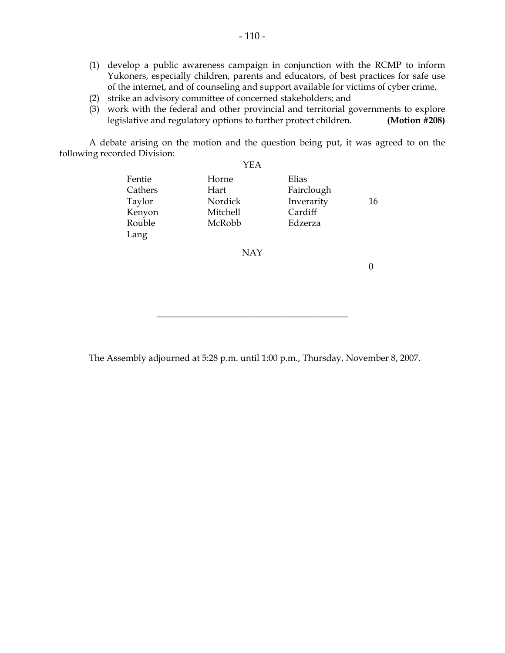- (1) develop a public awareness campaign in conjunction with the RCMP to inform Yukoners, especially children, parents and educators, of best practices for safe use of the internet, and of counseling and support available for victims of cyber crime,
- (2) strike an advisory committee of concerned stakeholders; and
- (3) work with the federal and other provincial and territorial governments to explore legislative and regulatory options to further protect children. **(Motion #208)**

 A debate arising on the motion and the question being put, it was agreed to on the following recorded Division:

|         | YEA      |            |    |
|---------|----------|------------|----|
| Fentie  | Horne    | Elias      |    |
| Cathers | Hart     | Fairclough |    |
| Taylor  | Nordick  | Inverarity | 16 |
| Kenyon  | Mitchell | Cardiff    |    |
| Rouble  | McRobb   | Edzerza    |    |
| Lang    |          |            |    |
|         | NAY      |            |    |

0

The Assembly adjourned at 5:28 p.m. until 1:00 p.m., Thursday, November 8, 2007.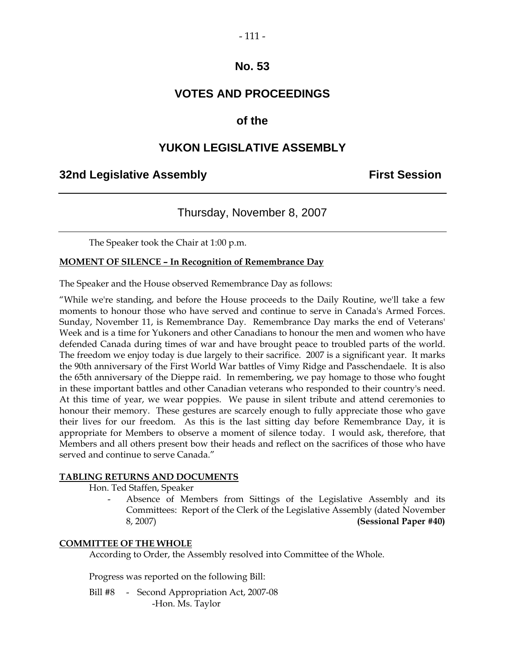#### $-111-$

## **No. 53**

## **VOTES AND PROCEEDINGS**

## **of the**

## **YUKON LEGISLATIVE ASSEMBLY**

#### **32nd Legislative Assembly First Session**

## Thursday, November 8, 2007

The Speaker took the Chair at 1:00 p.m.

#### **MOMENT OF SILENCE – In Recognition of Remembrance Day**

The Speaker and the House observed Remembrance Day as follows:

"While we're standing, and before the House proceeds to the Daily Routine, we'll take a few moments to honour those who have served and continue to serve in Canada's Armed Forces. Sunday, November 11, is Remembrance Day. Remembrance Day marks the end of Veterans' Week and is a time for Yukoners and other Canadians to honour the men and women who have defended Canada during times of war and have brought peace to troubled parts of the world. The freedom we enjoy today is due largely to their sacrifice. 2007 is a significant year. It marks the 90th anniversary of the First World War battles of Vimy Ridge and Passchendaele. It is also the 65th anniversary of the Dieppe raid. In remembering, we pay homage to those who fought in these important battles and other Canadian veterans who responded to their country's need. At this time of year, we wear poppies. We pause in silent tribute and attend ceremonies to honour their memory. These gestures are scarcely enough to fully appreciate those who gave their lives for our freedom. As this is the last sitting day before Remembrance Day, it is appropriate for Members to observe a moment of silence today. I would ask, therefore, that Members and all others present bow their heads and reflect on the sacrifices of those who have served and continue to serve Canada."

#### **TABLING RETURNS AND DOCUMENTS**

Hon. Ted Staffen, Speaker

Absence of Members from Sittings of the Legislative Assembly and its Committees: Report of the Clerk of the Legislative Assembly (dated November 8, 2007) **(Sessional Paper #40)** 

#### **COMMITTEE OF THE WHOLE**

According to Order, the Assembly resolved into Committee of the Whole.

Progress was reported on the following Bill:

 Bill #8 - Second Appropriation Act, 2007-08 -Hon. Ms. Taylor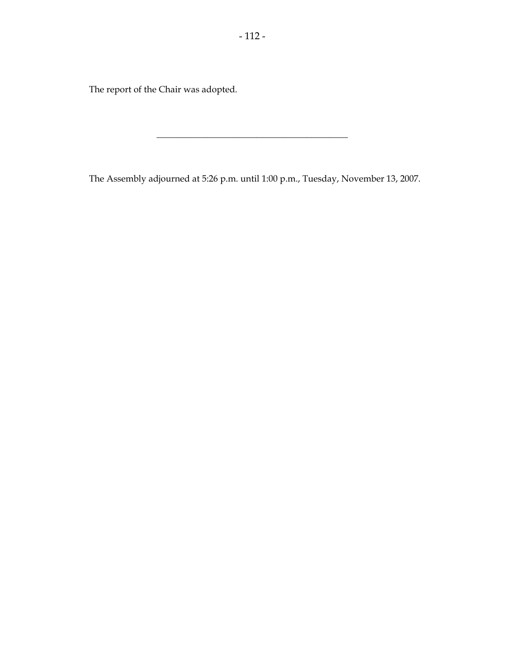The report of the Chair was adopted.

The Assembly adjourned at 5:26 p.m. until 1:00 p.m., Tuesday, November 13, 2007.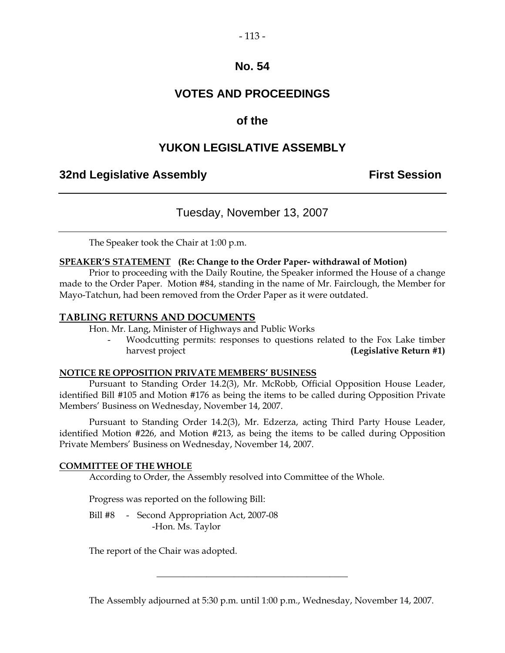#### $-113-$

## **No. 54**

## **VOTES AND PROCEEDINGS**

## **of the**

## **YUKON LEGISLATIVE ASSEMBLY**

## **32nd Legislative Assembly The Contract Session**

## Tuesday, November 13, 2007

The Speaker took the Chair at 1:00 p.m.

#### **SPEAKER'S STATEMENT (Re: Change to the Order Paper- withdrawal of Motion)**

 Prior to proceeding with the Daily Routine, the Speaker informed the House of a change made to the Order Paper. Motion #84, standing in the name of Mr. Fairclough, the Member for Mayo-Tatchun, had been removed from the Order Paper as it were outdated.

#### **TABLING RETURNS AND DOCUMENTS**

Hon. Mr. Lang, Minister of Highways and Public Works

Woodcutting permits: responses to questions related to the Fox Lake timber harvest project **(Legislative Return #1)** 

#### **NOTICE RE OPPOSITION PRIVATE MEMBERS' BUSINESS**

 Pursuant to Standing Order 14.2(3), Mr. McRobb, Official Opposition House Leader, identified Bill #105 and Motion #176 as being the items to be called during Opposition Private Members' Business on Wednesday, November 14, 2007.

 Pursuant to Standing Order 14.2(3), Mr. Edzerza, acting Third Party House Leader, identified Motion #226, and Motion #213, as being the items to be called during Opposition Private Members' Business on Wednesday, November 14, 2007.

#### **COMMITTEE OF THE WHOLE**

According to Order, the Assembly resolved into Committee of the Whole.

Progress was reported on the following Bill:

Bill #8 - Second Appropriation Act, 2007-08 -Hon. Ms. Taylor

The report of the Chair was adopted.

The Assembly adjourned at 5:30 p.m. until 1:00 p.m., Wednesday, November 14, 2007.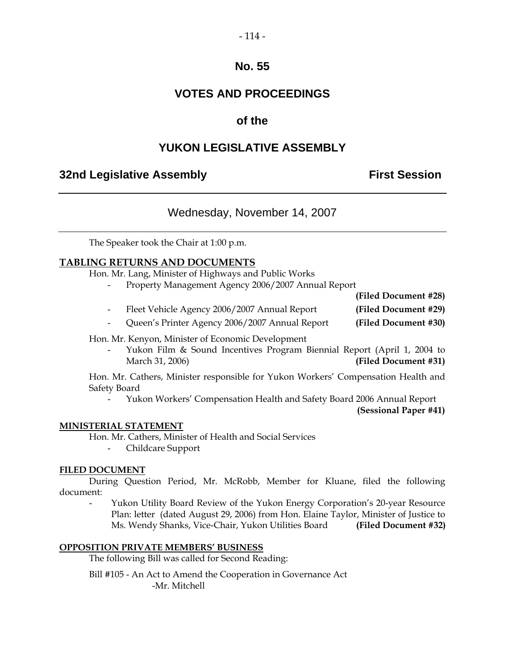# $-114-$

## **No. 55**

## **VOTES AND PROCEEDINGS**

## **of the**

## **YUKON LEGISLATIVE ASSEMBLY**

## **32nd Legislative Assembly The Contract Session**

## Wednesday, November 14, 2007

The Speaker took the Chair at 1:00 p.m.

#### **TABLING RETURNS AND DOCUMENTS**

Hon. Mr. Lang, Minister of Highways and Public Works

- Property Management Agency 2006/2007 Annual Report

- **(Filed Document #28)**  - Fleet Vehicle Agency 2006/2007 Annual Report **(Filed Document #29)**
- Queen's Printer Agency 2006/2007 Annual Report **(Filed Document #30)**

Hon. Mr. Kenyon, Minister of Economic Development

 - Yukon Film & Sound Incentives Program Biennial Report (April 1, 2004 to March 31, 2006) **(Filed Document #31)**

 Hon. Mr. Cathers, Minister responsible for Yukon Workers' Compensation Health and Safety Board

- Yukon Workers' Compensation Health and Safety Board 2006 Annual Report

**(Sessional Paper #41)** 

#### **MINISTERIAL STATEMENT**

Hon. Mr. Cathers, Minister of Health and Social Services

- Childcare Support

#### **FILED DOCUMENT**

 During Question Period, Mr. McRobb, Member for Kluane, filed the following document:

Yukon Utility Board Review of the Yukon Energy Corporation's 20-year Resource Plan: letter (dated August 29, 2006) from Hon. Elaine Taylor, Minister of Justice to Ms. Wendy Shanks, Vice-Chair, Yukon Utilities Board **(Filed Document #32)** 

#### **OPPOSITION PRIVATE MEMBERS' BUSINESS**

The following Bill was called for Second Reading:

 Bill #105 - An Act to Amend the Cooperation in Governance Act -Mr. Mitchell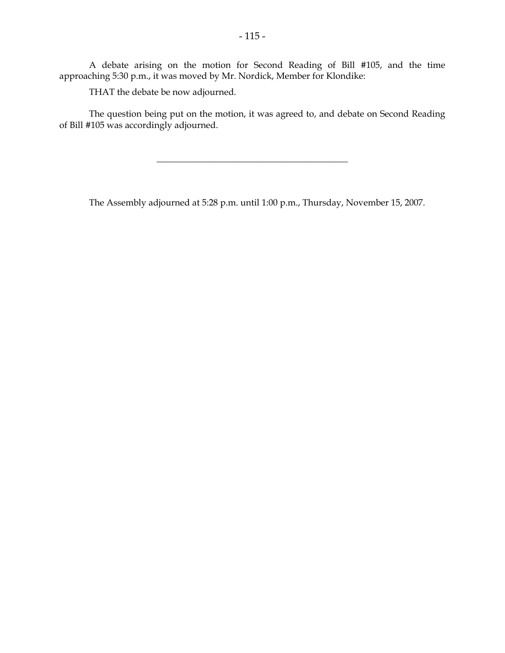A debate arising on the motion for Second Reading of Bill #105, and the time approaching 5:30 p.m., it was moved by Mr. Nordick, Member for Klondike:

THAT the debate be now adjourned.

 The question being put on the motion, it was agreed to, and debate on Second Reading of Bill #105 was accordingly adjourned.

\_\_\_\_\_\_\_\_\_\_\_\_\_\_\_\_\_\_\_\_\_\_\_\_\_\_\_\_\_\_\_\_\_\_\_\_\_\_\_\_\_\_

The Assembly adjourned at 5:28 p.m. until 1:00 p.m., Thursday, November 15, 2007.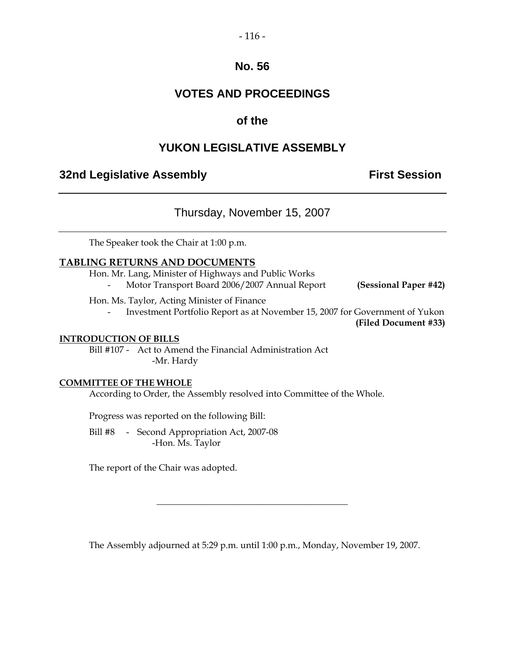## **No. 56**

## **VOTES AND PROCEEDINGS**

## **of the**

## **YUKON LEGISLATIVE ASSEMBLY**

## **32nd Legislative Assembly The Contract Session**

## Thursday, November 15, 2007

The Speaker took the Chair at 1:00 p.m.

#### **TABLING RETURNS AND DOCUMENTS**

Hon. Mr. Lang, Minister of Highways and Public Works

- Motor Transport Board 2006/2007 Annual Report **(Sessional Paper #42)** 

Hon. Ms. Taylor, Acting Minister of Finance

Investment Portfolio Report as at November 15, 2007 for Government of Yukon

 **(Filed Document #33)**

#### **INTRODUCTION OF BILLS**

 Bill #107 - Act to Amend the Financial Administration Act -Mr. Hardy

#### **COMMITTEE OF THE WHOLE**

According to Order, the Assembly resolved into Committee of the Whole.

Progress was reported on the following Bill:

 Bill #8 - Second Appropriation Act, 2007-08 -Hon. Ms. Taylor

The report of the Chair was adopted.

The Assembly adjourned at 5:29 p.m. until 1:00 p.m., Monday, November 19, 2007.

\_\_\_\_\_\_\_\_\_\_\_\_\_\_\_\_\_\_\_\_\_\_\_\_\_\_\_\_\_\_\_\_\_\_\_\_\_\_\_\_\_\_

 $-116-$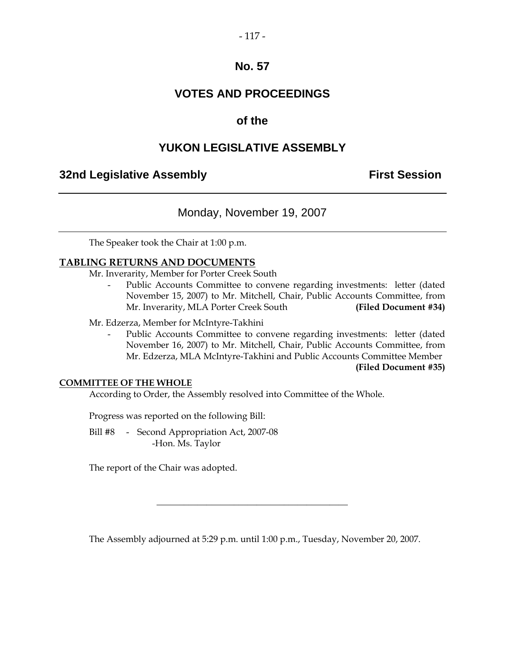#### $-117-$

## **No. 57**

## **VOTES AND PROCEEDINGS**

## **of the**

## **YUKON LEGISLATIVE ASSEMBLY**

## **32nd Legislative Assembly The Contract Session**

## Monday, November 19, 2007

The Speaker took the Chair at 1:00 p.m.

#### **TABLING RETURNS AND DOCUMENTS**

Mr. Inverarity, Member for Porter Creek South

Public Accounts Committee to convene regarding investments: letter (dated November 15, 2007) to Mr. Mitchell, Chair, Public Accounts Committee, from Mr. Inverarity, MLA Porter Creek South **(Filed Document #34)** 

Mr. Edzerza, Member for McIntyre-Takhini

Public Accounts Committee to convene regarding investments: letter (dated November 16, 2007) to Mr. Mitchell, Chair, Public Accounts Committee, from Mr. Edzerza, MLA McIntyre-Takhini and Public Accounts Committee Member

 **(Filed Document #35)**

#### **COMMITTEE OF THE WHOLE**

According to Order, the Assembly resolved into Committee of the Whole.

Progress was reported on the following Bill:

 Bill #8 - Second Appropriation Act, 2007-08 -Hon. Ms. Taylor

The report of the Chair was adopted.

The Assembly adjourned at 5:29 p.m. until 1:00 p.m., Tuesday, November 20, 2007.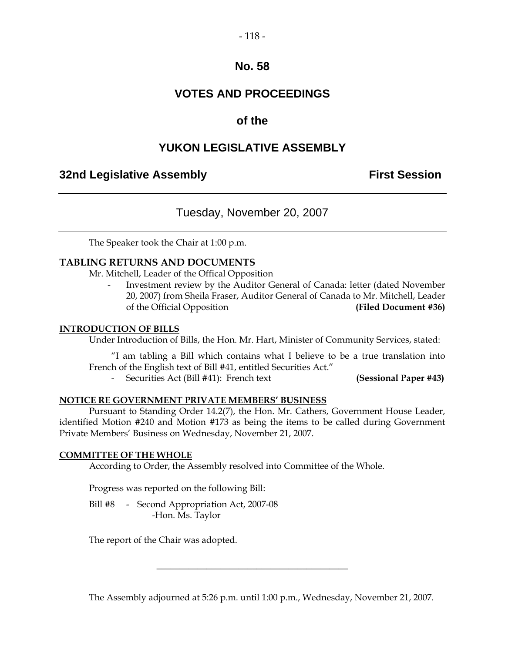#### $-118-$

## **No. 58**

## **VOTES AND PROCEEDINGS**

## **of the**

## **YUKON LEGISLATIVE ASSEMBLY**

## **32nd Legislative Assembly The Contract Session**

## Tuesday, November 20, 2007

The Speaker took the Chair at 1:00 p.m.

#### **TABLING RETURNS AND DOCUMENTS**

Mr. Mitchell, Leader of the Offical Opposition

- Investment review by the Auditor General of Canada: letter (dated November 20, 2007) from Sheila Fraser, Auditor General of Canada to Mr. Mitchell, Leader of the Official Opposition **(Filed Document #36)** 

#### **INTRODUCTION OF BILLS**

Under Introduction of Bills, the Hon. Mr. Hart, Minister of Community Services, stated:

 "I am tabling a Bill which contains what I believe to be a true translation into French of the English text of Bill #41, entitled Securities Act."

- Securities Act (Bill #41): French text **(Sessional Paper #43)** 

#### **NOTICE RE GOVERNMENT PRIVATE MEMBERS' BUSINESS**

 Pursuant to Standing Order 14.2(7), the Hon. Mr. Cathers, Government House Leader, identified Motion #240 and Motion #173 as being the items to be called during Government Private Members' Business on Wednesday, November 21, 2007.

#### **COMMITTEE OF THE WHOLE**

According to Order, the Assembly resolved into Committee of the Whole.

Progress was reported on the following Bill:

 Bill #8 - Second Appropriation Act, 2007-08 -Hon. Ms. Taylor

The report of the Chair was adopted.

The Assembly adjourned at 5:26 p.m. until 1:00 p.m., Wednesday, November 21, 2007.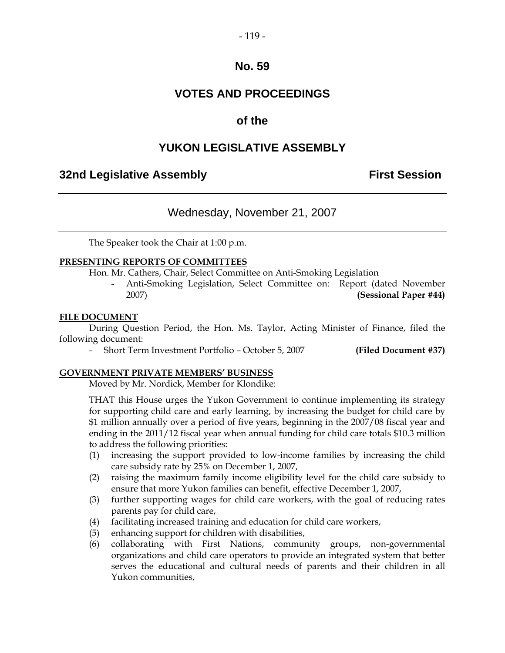#### $-119-$

### **No. 59**

## **VOTES AND PROCEEDINGS**

## **of the**

## **YUKON LEGISLATIVE ASSEMBLY**

## **32nd Legislative Assembly First Session**

## Wednesday, November 21, 2007

The Speaker took the Chair at 1:00 p.m.

#### **PRESENTING REPORTS OF COMMITTEES**

Hon. Mr. Cathers, Chair, Select Committee on Anti-Smoking Legislation

 - Anti-Smoking Legislation, Select Committee on: Report (dated November 2007) **(Sessional Paper #44)** 

#### **FILE DOCUMENT**

 During Question Period, the Hon. Ms. Taylor, Acting Minister of Finance, filed the following document:

- Short Term Investment Portfolio – October 5, 2007 **(Filed Document #37)** 

#### **GOVERNMENT PRIVATE MEMBERS' BUSINESS**

Moved by Mr. Nordick, Member for Klondike:

THAT this House urges the Yukon Government to continue implementing its strategy for supporting child care and early learning, by increasing the budget for child care by \$1 million annually over a period of five years, beginning in the 2007/08 fiscal year and ending in the 2011/12 fiscal year when annual funding for child care totals \$10.3 million to address the following priorities:

- (1) increasing the support provided to low-income families by increasing the child care subsidy rate by 25% on December 1, 2007,
- (2) raising the maximum family income eligibility level for the child care subsidy to ensure that more Yukon families can benefit, effective December 1, 2007,
- (3) further supporting wages for child care workers, with the goal of reducing rates parents pay for child care,
- (4) facilitating increased training and education for child care workers,
- (5) enhancing support for children with disabilities,
- (6) collaborating with First Nations, community groups, non-governmental organizations and child care operators to provide an integrated system that better serves the educational and cultural needs of parents and their children in all Yukon communities,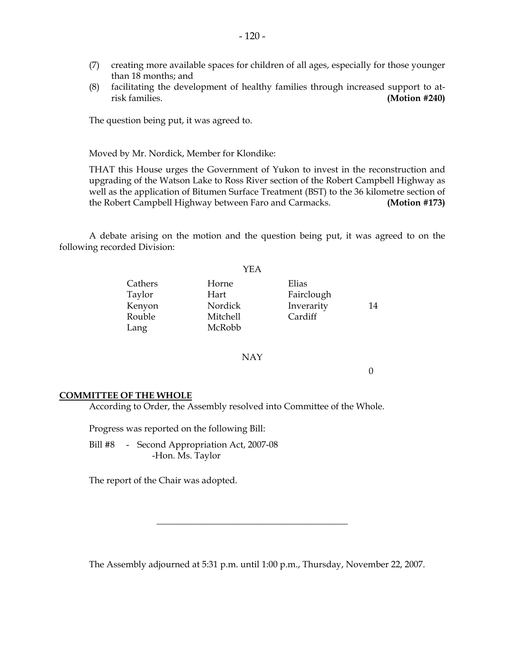- (7) creating more available spaces for children of all ages, especially for those younger than 18 months; and
- (8) facilitating the development of healthy families through increased support to atrisk families. **(Motion #240)**

The question being put, it was agreed to.

Moved by Mr. Nordick, Member for Klondike:

 THAT this House urges the Government of Yukon to invest in the reconstruction and upgrading of the Watson Lake to Ross River section of the Robert Campbell Highway as well as the application of Bitumen Surface Treatment (BST) to the 36 kilometre section of the Robert Campbell Highway between Faro and Carmacks. **(Motion #173)**

 A debate arising on the motion and the question being put, it was agreed to on the following recorded Division:

|         | YEA      |            |    |
|---------|----------|------------|----|
| Cathers | Horne    | Elias      |    |
| Taylor  | Hart     | Fairclough |    |
| Kenyon  | Nordick  | Inverarity | 14 |
| Rouble  | Mitchell | Cardiff    |    |
| Lang    | McRobb   |            |    |

#### NAY

0

#### **COMMITTEE OF THE WHOLE**

According to Order, the Assembly resolved into Committee of the Whole.

Progress was reported on the following Bill:

 Bill #8 - Second Appropriation Act, 2007-08 -Hon. Ms. Taylor

The report of the Chair was adopted.

The Assembly adjourned at 5:31 p.m. until 1:00 p.m., Thursday, November 22, 2007.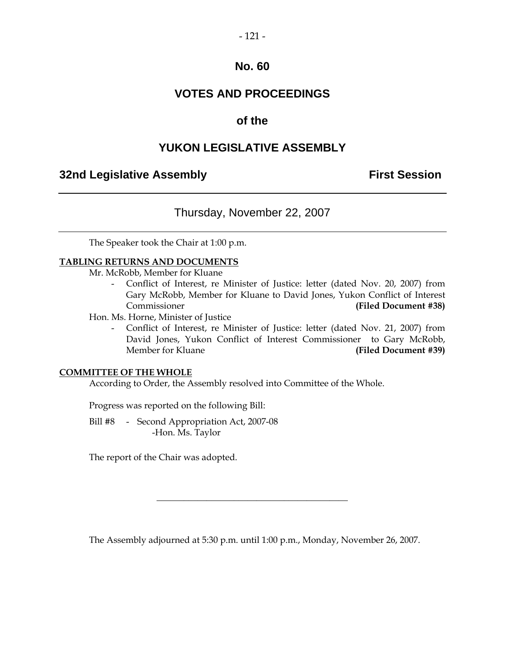#### $-121-$

## **No. 60**

## **VOTES AND PROCEEDINGS**

## **of the**

## **YUKON LEGISLATIVE ASSEMBLY**

## **32nd Legislative Assembly First Session**

## Thursday, November 22, 2007

The Speaker took the Chair at 1:00 p.m.

#### **TABLING RETURNS AND DOCUMENTS**

Mr. McRobb, Member for Kluane

 - Conflict of Interest, re Minister of Justice: letter (dated Nov. 20, 2007) from Gary McRobb, Member for Kluane to David Jones, Yukon Conflict of Interest Commissioner **(Filed Document #38)** 

Hon. Ms. Horne, Minister of Justice

 - Conflict of Interest, re Minister of Justice: letter (dated Nov. 21, 2007) from David Jones, Yukon Conflict of Interest Commissioner to Gary McRobb, Member for Kluane **(Filed Document #39)** 

#### **COMMITTEE OF THE WHOLE**

According to Order, the Assembly resolved into Committee of the Whole.

Progress was reported on the following Bill:

 Bill #8 - Second Appropriation Act, 2007-08 -Hon. Ms. Taylor

The report of the Chair was adopted.

The Assembly adjourned at 5:30 p.m. until 1:00 p.m., Monday, November 26, 2007.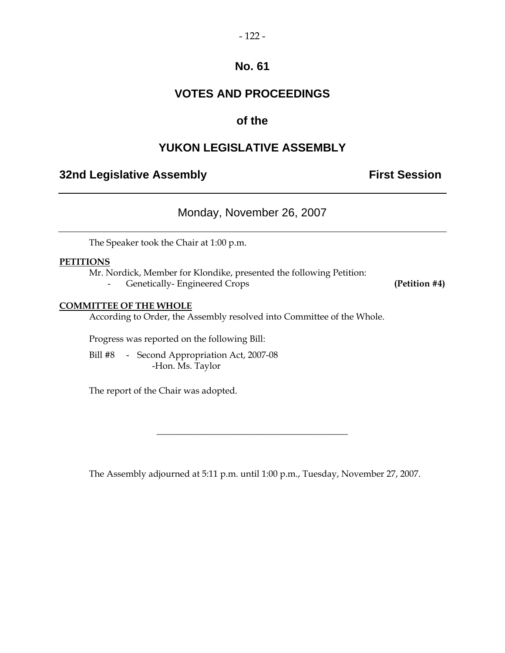#### $-122-$

## **No. 61**

## **VOTES AND PROCEEDINGS**

## **of the**

## **YUKON LEGISLATIVE ASSEMBLY**

## **32nd Legislative Assembly Constructed Session**

Monday, November 26, 2007

The Speaker took the Chair at 1:00 p.m.

#### **PETITIONS**

Mr. Nordick, Member for Klondike, presented the following Petition:

- Genetically- Engineered Crops **(Petition #4)**

#### **COMMITTEE OF THE WHOLE**

According to Order, the Assembly resolved into Committee of the Whole.

Progress was reported on the following Bill:

 Bill #8 - Second Appropriation Act, 2007-08 -Hon. Ms. Taylor

The report of the Chair was adopted.

The Assembly adjourned at 5:11 p.m. until 1:00 p.m., Tuesday, November 27, 2007.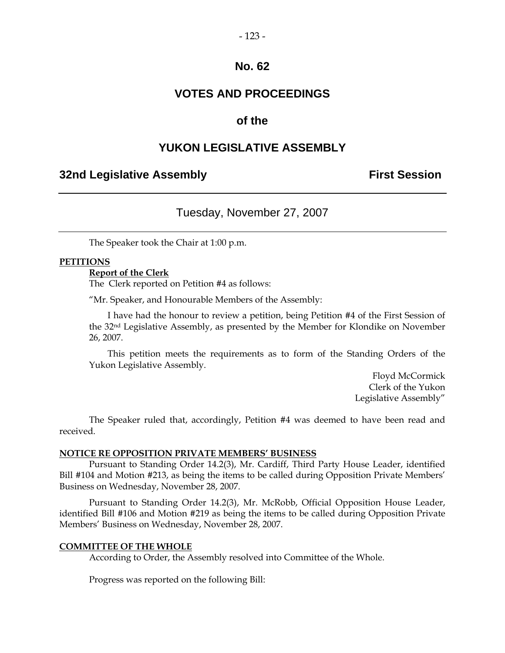#### $-123-$

## **No. 62**

## **VOTES AND PROCEEDINGS**

## **of the**

#### **YUKON LEGISLATIVE ASSEMBLY**

## **32nd Legislative Assembly The Contract Session**

#### Tuesday, November 27, 2007

The Speaker took the Chair at 1:00 p.m.

#### **PETITIONS**

#### **Report of the Clerk**

The Clerk reported on Petition #4 as follows:

"Mr. Speaker, and Honourable Members of the Assembly:

 I have had the honour to review a petition, being Petition #4 of the First Session of the 32nd Legislative Assembly, as presented by the Member for Klondike on November 26, 2007.

 This petition meets the requirements as to form of the Standing Orders of the Yukon Legislative Assembly.

> Floyd McCormick Clerk of the Yukon Legislative Assembly"

 The Speaker ruled that, accordingly, Petition #4 was deemed to have been read and received.

#### **NOTICE RE OPPOSITION PRIVATE MEMBERS' BUSINESS**

 Pursuant to Standing Order 14.2(3), Mr. Cardiff, Third Party House Leader, identified Bill #104 and Motion #213, as being the items to be called during Opposition Private Members' Business on Wednesday, November 28, 2007.

 Pursuant to Standing Order 14.2(3), Mr. McRobb, Official Opposition House Leader, identified Bill #106 and Motion #219 as being the items to be called during Opposition Private Members' Business on Wednesday, November 28, 2007.

#### **COMMITTEE OF THE WHOLE**

According to Order, the Assembly resolved into Committee of the Whole.

Progress was reported on the following Bill: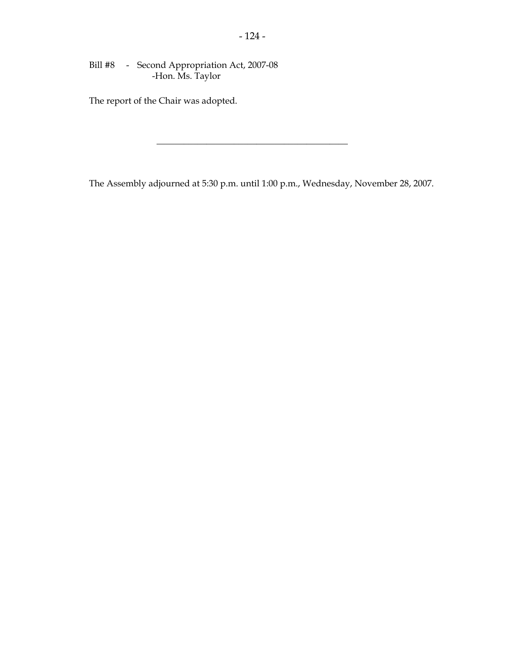Bill #8 - Second Appropriation Act, 2007-08 -Hon. Ms. Taylor

The report of the Chair was adopted.

The Assembly adjourned at 5:30 p.m. until 1:00 p.m., Wednesday, November 28, 2007.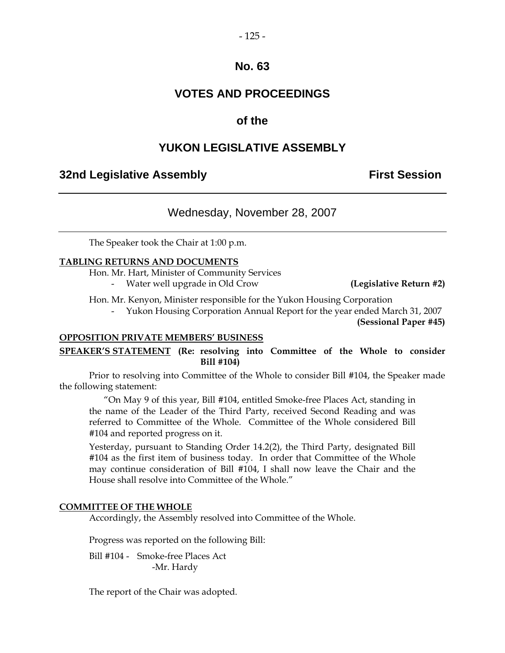#### $-125-$

## **No. 63**

## **VOTES AND PROCEEDINGS**

## **of the**

## **YUKON LEGISLATIVE ASSEMBLY**

## **32nd Legislative Assembly The Contract Session**

## Wednesday, November 28, 2007

The Speaker took the Chair at 1:00 p.m.

#### **TABLING RETURNS AND DOCUMENTS**

 Hon. Mr. Hart, Minister of Community Services - Water well upgrade in Old Crow **(Legislative Return #2)**

Hon. Mr. Kenyon, Minister responsible for the Yukon Housing Corporation

- Yukon Housing Corporation Annual Report for the year ended March 31, 2007

**(Sessional Paper #45)** 

#### **OPPOSITION PRIVATE MEMBERS' BUSINESS**

**SPEAKER'S STATEMENT (Re: resolving into Committee of the Whole to consider Bill #104)** 

 Prior to resolving into Committee of the Whole to consider Bill #104, the Speaker made the following statement:

 "On May 9 of this year, Bill #104, entitled Smoke-free Places Act, standing in the name of the Leader of the Third Party, received Second Reading and was referred to Committee of the Whole. Committee of the Whole considered Bill #104 and reported progress on it.

 Yesterday, pursuant to Standing Order 14.2(2), the Third Party, designated Bill #104 as the first item of business today. In order that Committee of the Whole may continue consideration of Bill #104, I shall now leave the Chair and the House shall resolve into Committee of the Whole."

#### **COMMITTEE OF THE WHOLE**

Accordingly, the Assembly resolved into Committee of the Whole.

Progress was reported on the following Bill:

 Bill #104 - Smoke-free Places Act -Mr. Hardy

The report of the Chair was adopted.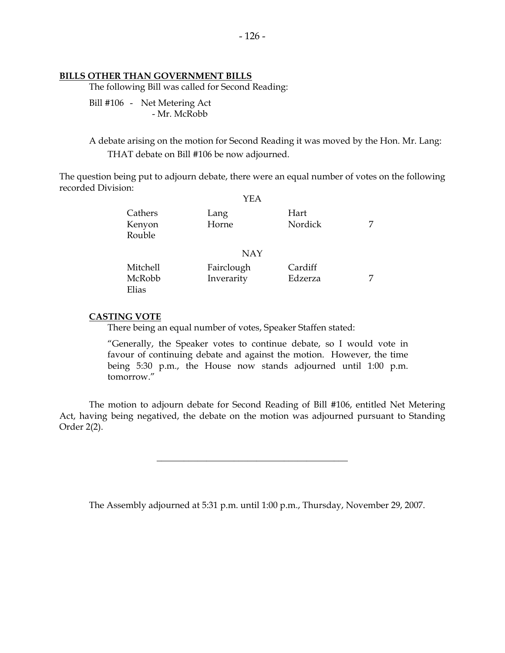#### **BILLS OTHER THAN GOVERNMENT BILLS**

The following Bill was called for Second Reading:

 Bill #106 - Net Metering Act - Mr. McRobb

 A debate arising on the motion for Second Reading it was moved by the Hon. Mr. Lang: THAT debate on Bill #106 be now adjourned.

The question being put to adjourn debate, there were an equal number of votes on the following recorded Division:  $\sqrt{E}$   $\Lambda$ 

|                             | YEA                      |                    |  |
|-----------------------------|--------------------------|--------------------|--|
| Cathers<br>Kenyon<br>Rouble | Lang<br>Horne            | Hart<br>Nordick    |  |
|                             | <b>NAY</b>               |                    |  |
| Mitchell<br>McRobb<br>Elias | Fairclough<br>Inverarity | Cardiff<br>Edzerza |  |

#### **CASTING VOTE**

There being an equal number of votes, Speaker Staffen stated:

 "Generally, the Speaker votes to continue debate, so I would vote in favour of continuing debate and against the motion. However, the time being 5:30 p.m., the House now stands adjourned until 1:00 p.m. tomorrow."

 The motion to adjourn debate for Second Reading of Bill #106, entitled Net Metering Act, having being negatived, the debate on the motion was adjourned pursuant to Standing Order 2(2).

\_\_\_\_\_\_\_\_\_\_\_\_\_\_\_\_\_\_\_\_\_\_\_\_\_\_\_\_\_\_\_\_\_\_\_\_\_\_\_\_\_\_

The Assembly adjourned at 5:31 p.m. until 1:00 p.m., Thursday, November 29, 2007.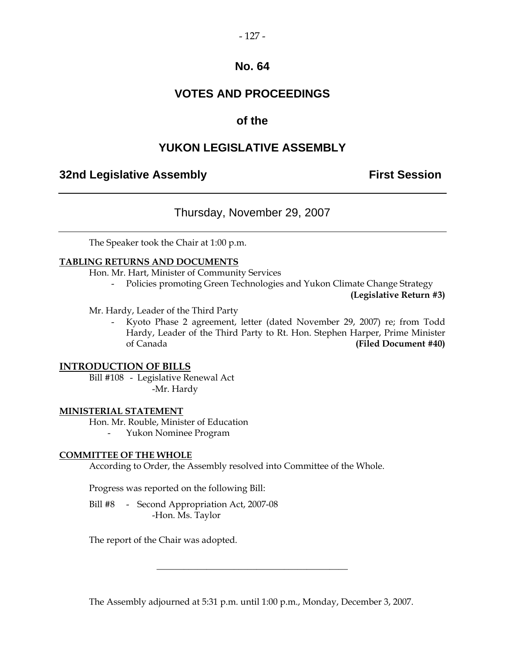#### $-127-$

## **No. 64**

## **VOTES AND PROCEEDINGS**

## **of the**

## **YUKON LEGISLATIVE ASSEMBLY**

## **32nd Legislative Assembly The Contract Session**

## Thursday, November 29, 2007

The Speaker took the Chair at 1:00 p.m.

#### **TABLING RETURNS AND DOCUMENTS**

Hon. Mr. Hart, Minister of Community Services

- Policies promoting Green Technologies and Yukon Climate Change Strategy

**(Legislative Return #3)** 

Mr. Hardy, Leader of the Third Party

- Kyoto Phase 2 agreement, letter (dated November 29, 2007) re; from Todd Hardy, Leader of the Third Party to Rt. Hon. Stephen Harper, Prime Minister of Canada **(Filed Document #40)** 

#### **INTRODUCTION OF BILLS**

 Bill #108 - Legislative Renewal Act -Mr. Hardy

#### **MINISTERIAL STATEMENT**

 Hon. Mr. Rouble, Minister of Education - Yukon Nominee Program

#### **COMMITTEE OF THE WHOLE**

According to Order, the Assembly resolved into Committee of the Whole.

Progress was reported on the following Bill:

 Bill #8 - Second Appropriation Act, 2007-08 -Hon. Ms. Taylor

The report of the Chair was adopted.

The Assembly adjourned at 5:31 p.m. until 1:00 p.m., Monday, December 3, 2007.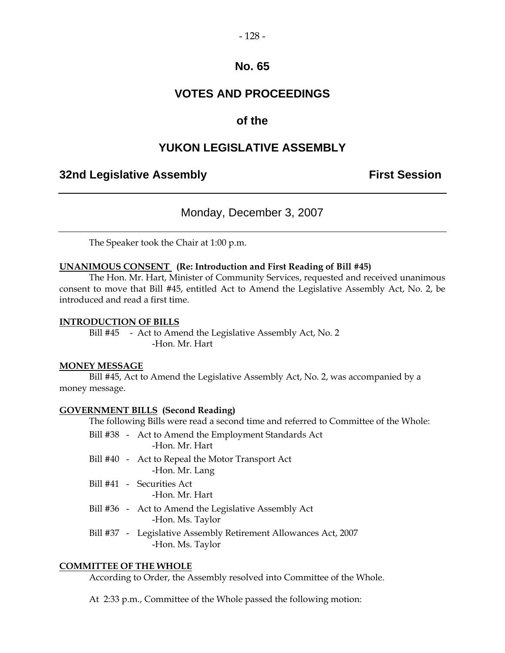#### $-128-$

## **No. 65**

## **VOTES AND PROCEEDINGS**

## **of the**

## **YUKON LEGISLATIVE ASSEMBLY**

## **32nd Legislative Assembly The Contract Session**

## Monday, December 3, 2007

The Speaker took the Chair at 1:00 p.m.

#### **UNANIMOUS CONSENT (Re: Introduction and First Reading of Bill #45)**

 The Hon. Mr. Hart, Minister of Community Services, requested and received unanimous consent to move that Bill #45, entitled Act to Amend the Legislative Assembly Act, No. 2, be introduced and read a first time.

#### **INTRODUCTION OF BILLS**

Bill #45 - Act to Amend the Legislative Assembly Act, No. 2 -Hon. Mr. Hart

#### **MONEY MESSAGE**

 Bill #45, Act to Amend the Legislative Assembly Act, No. 2, was accompanied by a money message.

#### **GOVERNMENT BILLS (Second Reading)**

The following Bills were read a second time and referred to Committee of the Whole:

- Bill #38 Act to Amend the Employment Standards Act -Hon. Mr. Hart
- Bill #40 Act to Repeal the Motor Transport Act -Hon. Mr. Lang
- Bill #41 Securities Act
	- -Hon. Mr. Hart
- Bill #36 Act to Amend the Legislative Assembly Act -Hon. Ms. Taylor
- Bill #37 Legislative Assembly Retirement Allowances Act, 2007 -Hon. Ms. Taylor

#### **COMMITTEE OF THE WHOLE**

According to Order, the Assembly resolved into Committee of the Whole.

At 2:33 p.m., Committee of the Whole passed the following motion: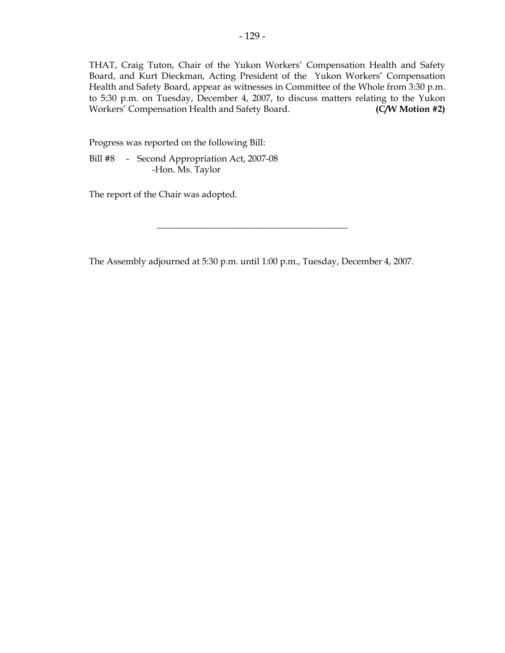THAT, Craig Tuton, Chair of the Yukon Workers' Compensation Health and Safety Board, and Kurt Dieckman, Acting President of the Yukon Workers' Compensation Health and Safety Board, appear as witnesses in Committee of the Whole from 3:30 p.m. to 5:30 p.m. on Tuesday, December 4, 2007, to discuss matters relating to the Yukon Workers' Compensation Health and Safety Board. **(C/W Motion #2)** 

Progress was reported on the following Bill:

 Bill #8 - Second Appropriation Act, 2007-08 -Hon. Ms. Taylor

The report of the Chair was adopted.

The Assembly adjourned at 5:30 p.m. until 1:00 p.m., Tuesday, December 4, 2007.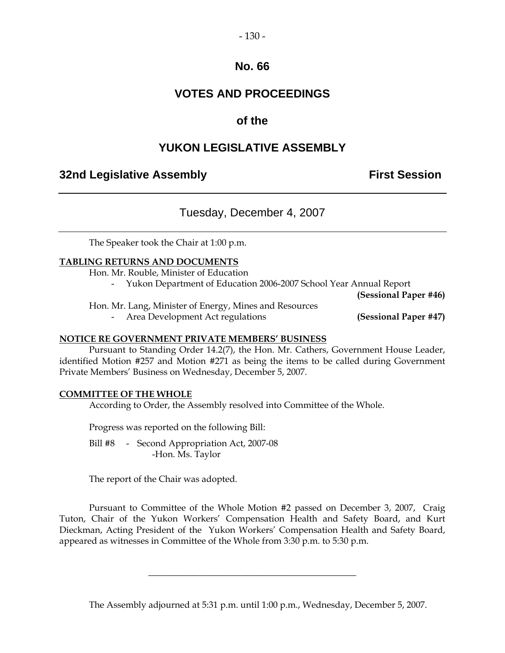#### $-130-$

## **No. 66**

## **VOTES AND PROCEEDINGS**

## **of the**

## **YUKON LEGISLATIVE ASSEMBLY**

## **32nd Legislative Assembly The Contract Session**

## Tuesday, December 4, 2007

The Speaker took the Chair at 1:00 p.m.

#### **TABLING RETURNS AND DOCUMENTS**

Hon. Mr. Rouble, Minister of Education

- Yukon Department of Education 2006-2007 School Year Annual Report

**(Sessional Paper #46)**

Hon. Mr. Lang, Minister of Energy, Mines and Resources

- Area Development Act regulations **(Sessional Paper #47)**

#### **NOTICE RE GOVERNMENT PRIVATE MEMBERS' BUSINESS**

 Pursuant to Standing Order 14.2(7), the Hon. Mr. Cathers, Government House Leader, identified Motion #257 and Motion #271 as being the items to be called during Government Private Members' Business on Wednesday, December 5, 2007.

#### **COMMITTEE OF THE WHOLE**

According to Order, the Assembly resolved into Committee of the Whole.

Progress was reported on the following Bill:

Bill #8 - Second Appropriation Act, 2007-08 -Hon. Ms. Taylor

The report of the Chair was adopted.

 Pursuant to Committee of the Whole Motion #2 passed on December 3, 2007, Craig Tuton, Chair of the Yukon Workers' Compensation Health and Safety Board, and Kurt Dieckman, Acting President of the Yukon Workers' Compensation Health and Safety Board, appeared as witnesses in Committee of the Whole from 3:30 p.m. to 5:30 p.m.

\_\_\_\_\_\_\_\_\_\_\_\_\_\_\_\_\_\_\_\_\_\_\_\_\_\_\_\_\_\_\_\_\_\_\_\_\_\_\_\_\_\_

The Assembly adjourned at 5:31 p.m. until 1:00 p.m., Wednesday, December 5, 2007.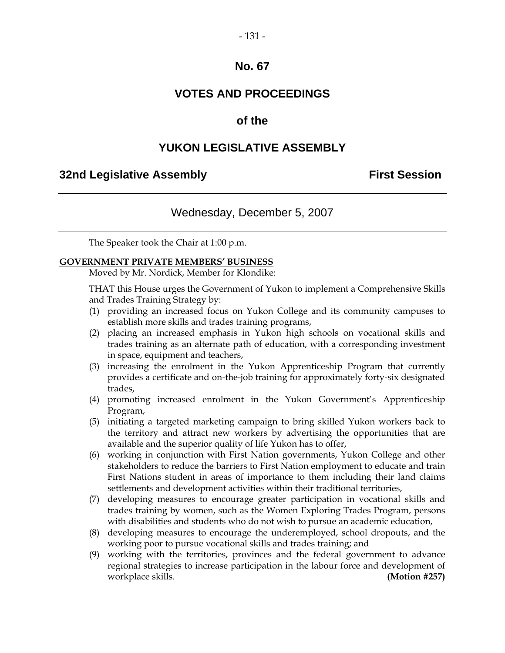#### $-131 -$

## **No. 67**

## **VOTES AND PROCEEDINGS**

## **of the**

## **YUKON LEGISLATIVE ASSEMBLY**

#### **32nd Legislative Assembly First Session**

## Wednesday, December 5, 2007

The Speaker took the Chair at 1:00 p.m.

#### **GOVERNMENT PRIVATE MEMBERS' BUSINESS**

Moved by Mr. Nordick, Member for Klondike:

 THAT this House urges the Government of Yukon to implement a Comprehensive Skills and Trades Training Strategy by:

- (1) providing an increased focus on Yukon College and its community campuses to establish more skills and trades training programs,
- (2) placing an increased emphasis in Yukon high schools on vocational skills and trades training as an alternate path of education, with a corresponding investment in space, equipment and teachers,
- (3) increasing the enrolment in the Yukon Apprenticeship Program that currently provides a certificate and on-the-job training for approximately forty-six designated trades,
- (4) promoting increased enrolment in the Yukon Government's Apprenticeship Program,
- (5) initiating a targeted marketing campaign to bring skilled Yukon workers back to the territory and attract new workers by advertising the opportunities that are available and the superior quality of life Yukon has to offer,
- (6) working in conjunction with First Nation governments, Yukon College and other stakeholders to reduce the barriers to First Nation employment to educate and train First Nations student in areas of importance to them including their land claims settlements and development activities within their traditional territories,
- (7) developing measures to encourage greater participation in vocational skills and trades training by women, such as the Women Exploring Trades Program, persons with disabilities and students who do not wish to pursue an academic education,
- (8) developing measures to encourage the underemployed, school dropouts, and the working poor to pursue vocational skills and trades training; and
- (9) working with the territories, provinces and the federal government to advance regional strategies to increase participation in the labour force and development of workplace skills. **(Motion #257) (Motion #257)**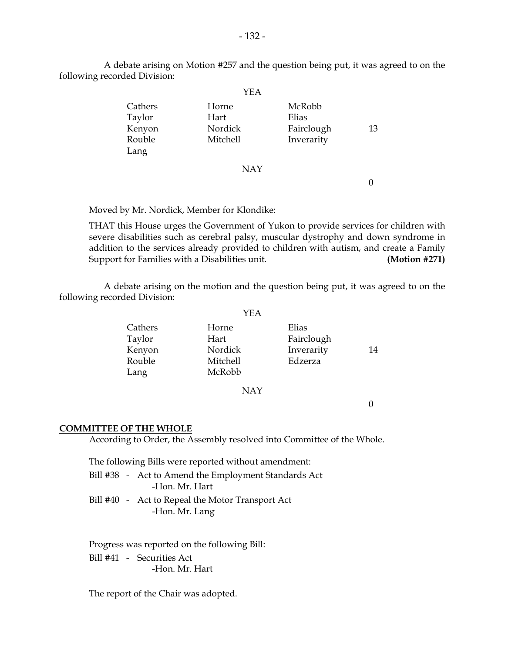|         | YEA        |            |    |
|---------|------------|------------|----|
| Cathers | Horne      | McRobb     |    |
| Taylor  | Hart       | Elias      |    |
| Kenyon  | Nordick    | Fairclough | 13 |
| Rouble  | Mitchell   | Inverarity |    |
| Lang    |            |            |    |
|         | <b>NAY</b> |            |    |
|         |            |            |    |
|         |            |            |    |

 A debate arising on Motion #257 and the question being put, it was agreed to on the following recorded Division:

Moved by Mr. Nordick, Member for Klondike:

 THAT this House urges the Government of Yukon to provide services for children with severe disabilities such as cerebral palsy, muscular dystrophy and down syndrome in addition to the services already provided to children with autism, and create a Family Support for Families with a Disabilities unit. **(Motion #271)** 

 A debate arising on the motion and the question being put, it was agreed to on the following recorded Division:

|         | YEA      |            |    |
|---------|----------|------------|----|
| Cathers | Horne    | Elias      |    |
| Taylor  | Hart     | Fairclough |    |
| Kenyon  | Nordick  | Inverarity | 14 |
| Rouble  | Mitchell | Edzerza    |    |
| Lang    | McRobb   |            |    |

NAY

 $\theta$ 

#### **COMMITTEE OF THE WHOLE**

According to Order, the Assembly resolved into Committee of the Whole.

The following Bills were reported without amendment:

|  | Bill #38 - Act to Amend the Employment Standards Act |
|--|------------------------------------------------------|
|  | -Hon. Mr. Hart                                       |

 Bill #40 - Act to Repeal the Motor Transport Act -Hon. Mr. Lang

 Progress was reported on the following Bill: Bill #41 - Securities Act

-Hon. Mr. Hart

The report of the Chair was adopted.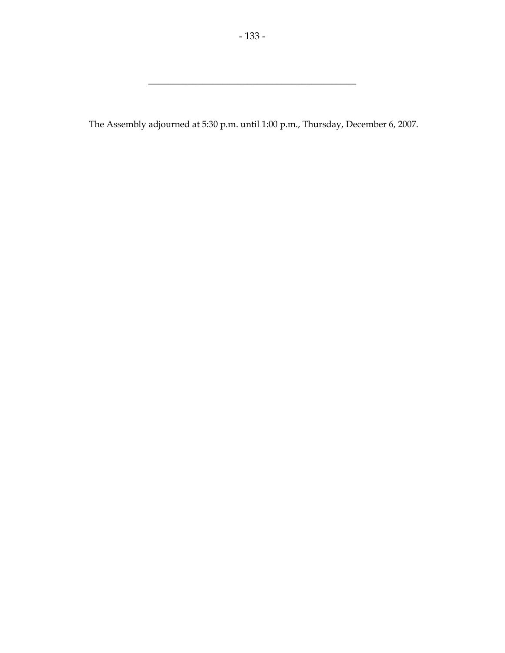The Assembly adjourned at 5:30 p.m. until 1:00 p.m., Thursday, December 6, 2007.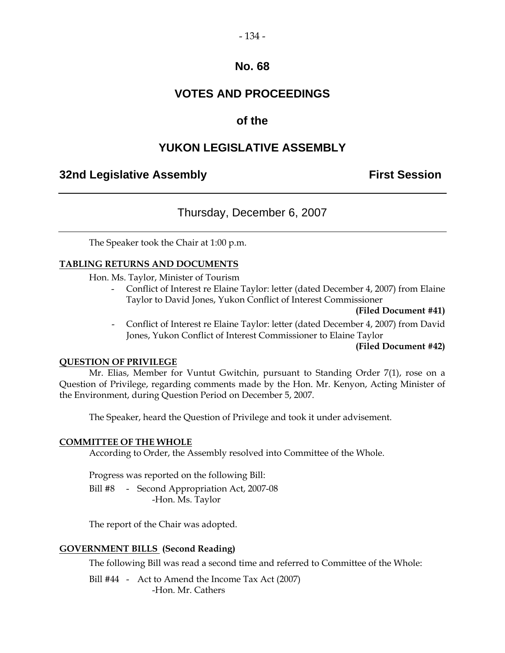#### $-134-$

## **No. 68**

## **VOTES AND PROCEEDINGS**

## **of the**

## **YUKON LEGISLATIVE ASSEMBLY**

## **32nd Legislative Assembly The Contract Session**

## Thursday, December 6, 2007

The Speaker took the Chair at 1:00 p.m.

#### **TABLING RETURNS AND DOCUMENTS**

Hon. Ms. Taylor, Minister of Tourism

- Conflict of Interest re Elaine Taylor: letter (dated December 4, 2007) from Elaine Taylor to David Jones, Yukon Conflict of Interest Commissioner

**(Filed Document #41)** 

- Conflict of Interest re Elaine Taylor: letter (dated December 4, 2007) from David Jones, Yukon Conflict of Interest Commissioner to Elaine Taylor

#### **(Filed Document #42)**

#### **QUESTION OF PRIVILEGE**

 Mr. Elias, Member for Vuntut Gwitchin, pursuant to Standing Order 7(1), rose on a Question of Privilege, regarding comments made by the Hon. Mr. Kenyon, Acting Minister of the Environment, during Question Period on December 5, 2007.

The Speaker, heard the Question of Privilege and took it under advisement.

#### **COMMITTEE OF THE WHOLE**

According to Order, the Assembly resolved into Committee of the Whole.

Progress was reported on the following Bill:

Bill #8 - Second Appropriation Act, 2007-08 -Hon. Ms. Taylor

The report of the Chair was adopted.

#### **GOVERNMENT BILLS (Second Reading)**

The following Bill was read a second time and referred to Committee of the Whole:

Bill #44 - Act to Amend the Income Tax Act (2007) -Hon. Mr. Cathers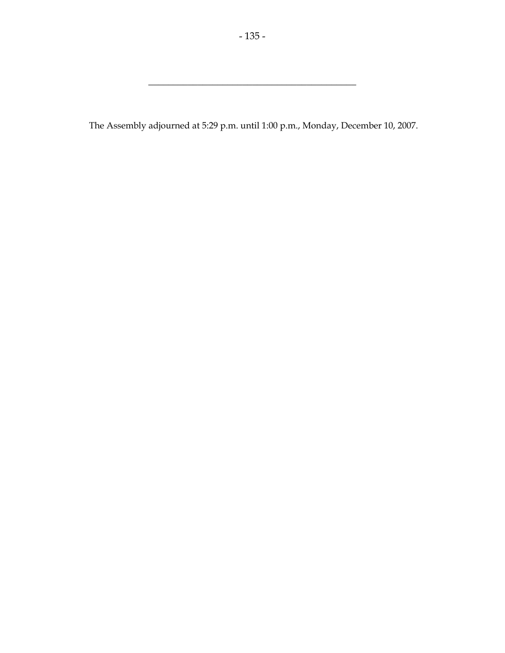The Assembly adjourned at 5:29 p.m. until 1:00 p.m., Monday, December 10, 2007.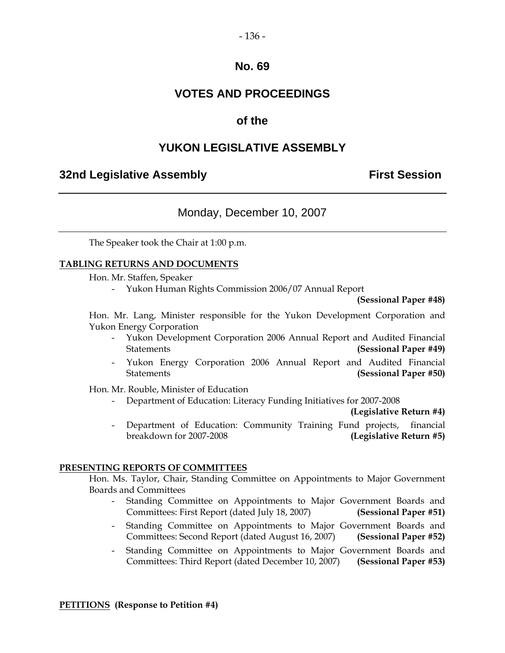#### $-136-$

## **No. 69**

## **VOTES AND PROCEEDINGS**

## **of the**

## **YUKON LEGISLATIVE ASSEMBLY**

## **32nd Legislative Assembly First Session**

## Monday, December 10, 2007

The Speaker took the Chair at 1:00 p.m.

#### **TABLING RETURNS AND DOCUMENTS**

Hon. Mr. Staffen, Speaker

- Yukon Human Rights Commission 2006/07 Annual Report

**(Sessional Paper #48)** 

 Hon. Mr. Lang, Minister responsible for the Yukon Development Corporation and Yukon Energy Corporation

- Yukon Development Corporation 2006 Annual Report and Audited Financial Statements **(Sessional Paper #49)**
- Yukon Energy Corporation 2006 Annual Report and Audited Financial Statements **(Sessional Paper #50)**

Hon. Mr. Rouble, Minister of Education

- Department of Education: Literacy Funding Initiatives for 2007-2008

**(Legislative Return #4)** 

Department of Education: Community Training Fund projects, financial breakdown for 2007-2008 **(Legislative Return #5)**

#### **PRESENTING REPORTS OF COMMITTEES**

 Hon. Ms. Taylor, Chair, Standing Committee on Appointments to Major Government Boards and Committees

- Standing Committee on Appointments to Major Government Boards and Committees: First Report (dated July 18, 2007) **(Sessional Paper #51)**
- Standing Committee on Appointments to Major Government Boards and Committees: Second Report (dated August 16, 2007) **(Sessional Paper #52)**
- Standing Committee on Appointments to Major Government Boards and Committees: Third Report (dated December 10, 2007) **(Sessional Paper #53)**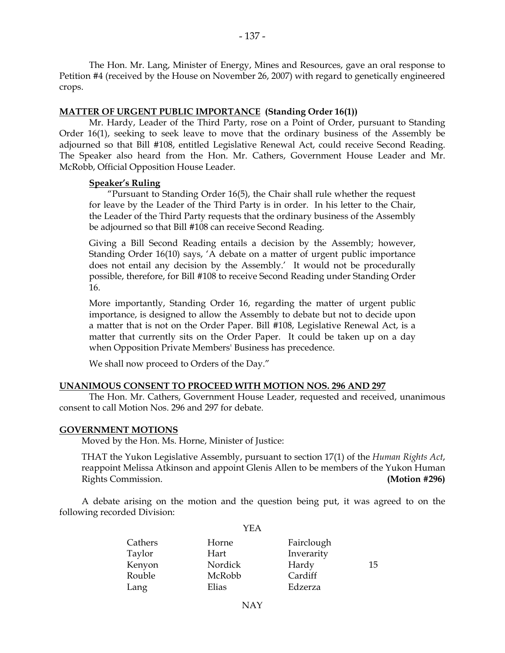The Hon. Mr. Lang, Minister of Energy, Mines and Resources, gave an oral response to Petition #4 (received by the House on November 26, 2007) with regard to genetically engineered crops.

#### **MATTER OF URGENT PUBLIC IMPORTANCE (Standing Order 16(1))**

 Mr. Hardy, Leader of the Third Party, rose on a Point of Order, pursuant to Standing Order 16(1), seeking to seek leave to move that the ordinary business of the Assembly be adjourned so that Bill #108, entitled Legislative Renewal Act, could receive Second Reading. The Speaker also heard from the Hon. Mr. Cathers, Government House Leader and Mr. McRobb, Official Opposition House Leader.

#### **Speaker's Ruling**

 "Pursuant to Standing Order 16(5), the Chair shall rule whether the request for leave by the Leader of the Third Party is in order. In his letter to the Chair, the Leader of the Third Party requests that the ordinary business of the Assembly be adjourned so that Bill #108 can receive Second Reading.

Giving a Bill Second Reading entails a decision by the Assembly; however, Standing Order 16(10) says, 'A debate on a matter of urgent public importance does not entail any decision by the Assembly.' It would not be procedurally possible, therefore, for Bill #108 to receive Second Reading under Standing Order 16.

More importantly, Standing Order 16, regarding the matter of urgent public importance, is designed to allow the Assembly to debate but not to decide upon a matter that is not on the Order Paper. Bill #108, Legislative Renewal Act, is a matter that currently sits on the Order Paper. It could be taken up on a day when Opposition Private Members' Business has precedence.

We shall now proceed to Orders of the Day."

#### **UNANIMOUS CONSENT TO PROCEED WITH MOTION NOS. 296 AND 297**

 The Hon. Mr. Cathers, Government House Leader, requested and received, unanimous consent to call Motion Nos. 296 and 297 for debate.

#### **GOVERNMENT MOTIONS**

Moved by the Hon. Ms. Horne, Minister of Justice:

 THAT the Yukon Legislative Assembly, pursuant to section 17(1) of the *Human Rights Act*, reappoint Melissa Atkinson and appoint Glenis Allen to be members of the Yukon Human Rights Commission. **(Motion #296)**

 A debate arising on the motion and the question being put, it was agreed to on the following recorded Division:

YEA

| Horne   | Fairclough |    |
|---------|------------|----|
| Hart    | Inverarity |    |
| Nordick | Hardy      | 15 |
| McRobb  | Cardiff    |    |
| Elias   | Edzerza    |    |
|         |            |    |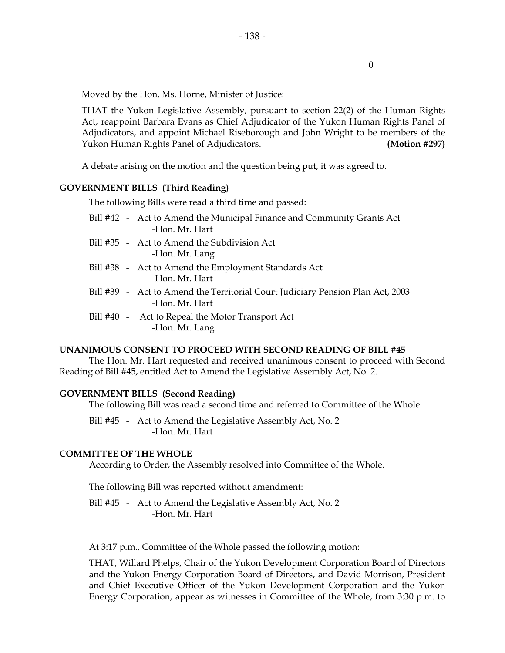0

Moved by the Hon. Ms. Horne, Minister of Justice:

 THAT the Yukon Legislative Assembly, pursuant to section 22(2) of the Human Rights Act, reappoint Barbara Evans as Chief Adjudicator of the Yukon Human Rights Panel of Adjudicators, and appoint Michael Riseborough and John Wright to be members of the Yukon Human Rights Panel of Adjudicators. **(Motion #297)**

A debate arising on the motion and the question being put, it was agreed to.

#### **GOVERNMENT BILLS (Third Reading)**

The following Bills were read a third time and passed:

- Bill #42 Act to Amend the Municipal Finance and Community Grants Act -Hon. Mr. Hart
- Bill #35 Act to Amend the Subdivision Act -Hon. Mr. Lang
- Bill #38 Act to Amend the Employment Standards Act -Hon. Mr. Hart
- Bill #39 Act to Amend the Territorial Court Judiciary Pension Plan Act, 2003 -Hon. Mr. Hart
- Bill #40 Act to Repeal the Motor Transport Act -Hon. Mr. Lang

#### **UNANIMOUS CONSENT TO PROCEED WITH SECOND READING OF BILL #45**

 The Hon. Mr. Hart requested and received unanimous consent to proceed with Second Reading of Bill #45, entitled Act to Amend the Legislative Assembly Act, No. 2.

#### **GOVERNMENT BILLS (Second Reading)**

The following Bill was read a second time and referred to Committee of the Whole:

Bill #45 - Act to Amend the Legislative Assembly Act, No. 2 -Hon. Mr. Hart

#### **COMMITTEE OF THE WHOLE**

According to Order, the Assembly resolved into Committee of the Whole.

The following Bill was reported without amendment:

Bill #45 - Act to Amend the Legislative Assembly Act, No. 2 -Hon. Mr. Hart

At 3:17 p.m., Committee of the Whole passed the following motion:

 THAT, Willard Phelps, Chair of the Yukon Development Corporation Board of Directors and the Yukon Energy Corporation Board of Directors, and David Morrison, President and Chief Executive Officer of the Yukon Development Corporation and the Yukon Energy Corporation, appear as witnesses in Committee of the Whole, from 3:30 p.m. to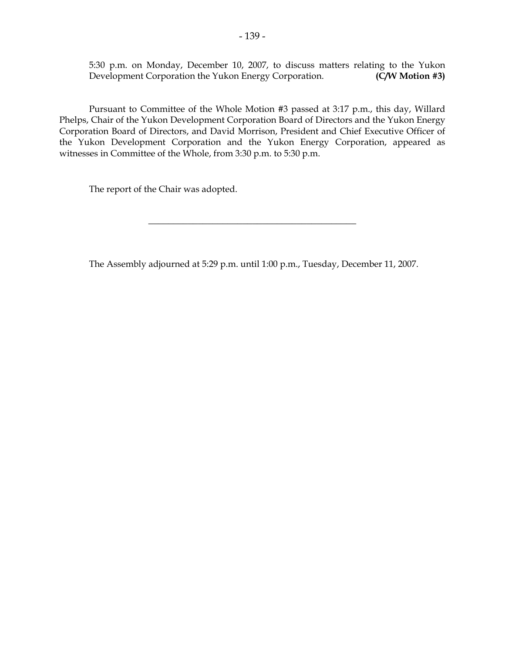5:30 p.m. on Monday, December 10, 2007, to discuss matters relating to the Yukon Development Corporation the Yukon Energy Corporation. (C/W Motion #3) Development Corporation the Yukon Energy Corporation.

 Pursuant to Committee of the Whole Motion #3 passed at 3:17 p.m., this day, Willard Phelps, Chair of the Yukon Development Corporation Board of Directors and the Yukon Energy Corporation Board of Directors, and David Morrison, President and Chief Executive Officer of the Yukon Development Corporation and the Yukon Energy Corporation, appeared as witnesses in Committee of the Whole, from 3:30 p.m. to 5:30 p.m.

The report of the Chair was adopted.

The Assembly adjourned at 5:29 p.m. until 1:00 p.m., Tuesday, December 11, 2007.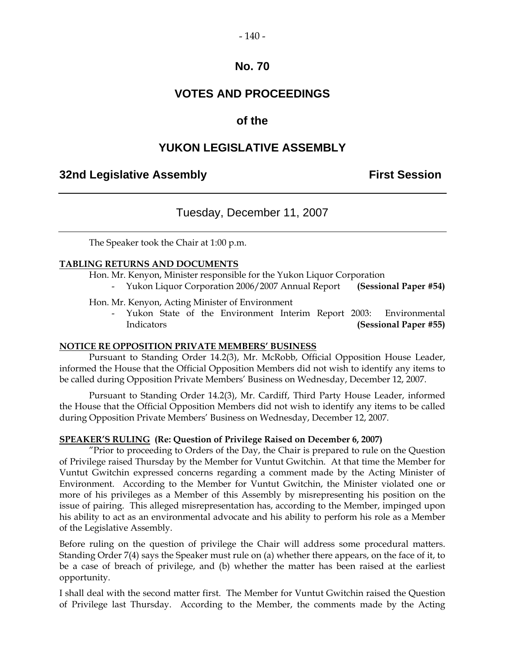#### $-140-$

## **No. 70**

## **VOTES AND PROCEEDINGS**

## **of the**

## **YUKON LEGISLATIVE ASSEMBLY**

## **32nd Legislative Assembly First Session**

## Tuesday, December 11, 2007

The Speaker took the Chair at 1:00 p.m.

#### **TABLING RETURNS AND DOCUMENTS**

Hon. Mr. Kenyon, Minister responsible for the Yukon Liquor Corporation

- Yukon Liquor Corporation 2006/2007 Annual Report **(Sessional Paper #54)** 

Hon. Mr. Kenyon, Acting Minister of Environment

Yukon State of the Environment Interim Report 2003: Environmental Indicators **(Sessional Paper #55)**

#### **NOTICE RE OPPOSITION PRIVATE MEMBERS' BUSINESS**

 Pursuant to Standing Order 14.2(3), Mr. McRobb, Official Opposition House Leader, informed the House that the Official Opposition Members did not wish to identify any items to be called during Opposition Private Members' Business on Wednesday, December 12, 2007.

 Pursuant to Standing Order 14.2(3), Mr. Cardiff, Third Party House Leader, informed the House that the Official Opposition Members did not wish to identify any items to be called during Opposition Private Members' Business on Wednesday, December 12, 2007.

#### **SPEAKER'S RULING (Re: Question of Privilege Raised on December 6, 2007)**

 "Prior to proceeding to Orders of the Day, the Chair is prepared to rule on the Question of Privilege raised Thursday by the Member for Vuntut Gwitchin. At that time the Member for Vuntut Gwitchin expressed concerns regarding a comment made by the Acting Minister of Environment. According to the Member for Vuntut Gwitchin, the Minister violated one or more of his privileges as a Member of this Assembly by misrepresenting his position on the issue of pairing. This alleged misrepresentation has, according to the Member, impinged upon his ability to act as an environmental advocate and his ability to perform his role as a Member of the Legislative Assembly.

Before ruling on the question of privilege the Chair will address some procedural matters. Standing Order 7(4) says the Speaker must rule on (a) whether there appears, on the face of it, to be a case of breach of privilege, and (b) whether the matter has been raised at the earliest opportunity.

I shall deal with the second matter first. The Member for Vuntut Gwitchin raised the Question of Privilege last Thursday. According to the Member, the comments made by the Acting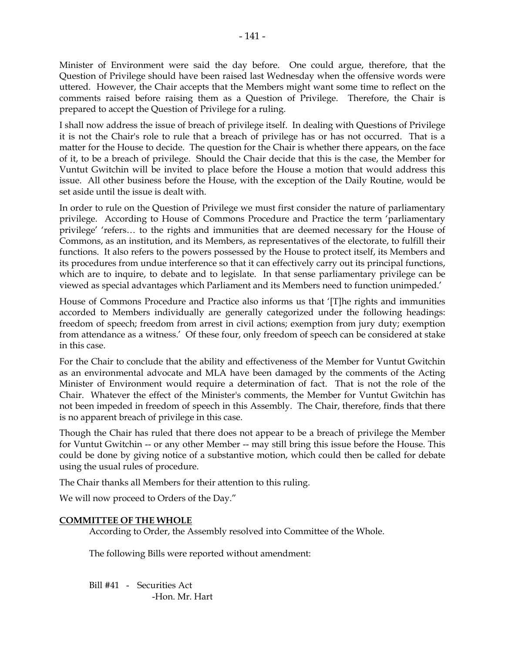Minister of Environment were said the day before. One could argue, therefore, that the Question of Privilege should have been raised last Wednesday when the offensive words were uttered. However, the Chair accepts that the Members might want some time to reflect on the comments raised before raising them as a Question of Privilege. Therefore, the Chair is prepared to accept the Question of Privilege for a ruling.

I shall now address the issue of breach of privilege itself. In dealing with Questions of Privilege it is not the Chair's role to rule that a breach of privilege has or has not occurred. That is a matter for the House to decide. The question for the Chair is whether there appears, on the face of it, to be a breach of privilege. Should the Chair decide that this is the case, the Member for Vuntut Gwitchin will be invited to place before the House a motion that would address this issue. All other business before the House, with the exception of the Daily Routine, would be set aside until the issue is dealt with.

In order to rule on the Question of Privilege we must first consider the nature of parliamentary privilege. According to House of Commons Procedure and Practice the term 'parliamentary privilege' 'refers… to the rights and immunities that are deemed necessary for the House of Commons, as an institution, and its Members, as representatives of the electorate, to fulfill their functions. It also refers to the powers possessed by the House to protect itself, its Members and its procedures from undue interference so that it can effectively carry out its principal functions, which are to inquire, to debate and to legislate. In that sense parliamentary privilege can be viewed as special advantages which Parliament and its Members need to function unimpeded.'

House of Commons Procedure and Practice also informs us that '[T]he rights and immunities accorded to Members individually are generally categorized under the following headings: freedom of speech; freedom from arrest in civil actions; exemption from jury duty; exemption from attendance as a witness.' Of these four, only freedom of speech can be considered at stake in this case.

For the Chair to conclude that the ability and effectiveness of the Member for Vuntut Gwitchin as an environmental advocate and MLA have been damaged by the comments of the Acting Minister of Environment would require a determination of fact. That is not the role of the Chair. Whatever the effect of the Minister's comments, the Member for Vuntut Gwitchin has not been impeded in freedom of speech in this Assembly. The Chair, therefore, finds that there is no apparent breach of privilege in this case.

Though the Chair has ruled that there does not appear to be a breach of privilege the Member for Vuntut Gwitchin -- or any other Member -- may still bring this issue before the House. This could be done by giving notice of a substantive motion, which could then be called for debate using the usual rules of procedure.

The Chair thanks all Members for their attention to this ruling.

We will now proceed to Orders of the Day."

#### **COMMITTEE OF THE WHOLE**

According to Order, the Assembly resolved into Committee of the Whole.

The following Bills were reported without amendment:

 Bill #41 - Securities Act -Hon. Mr. Hart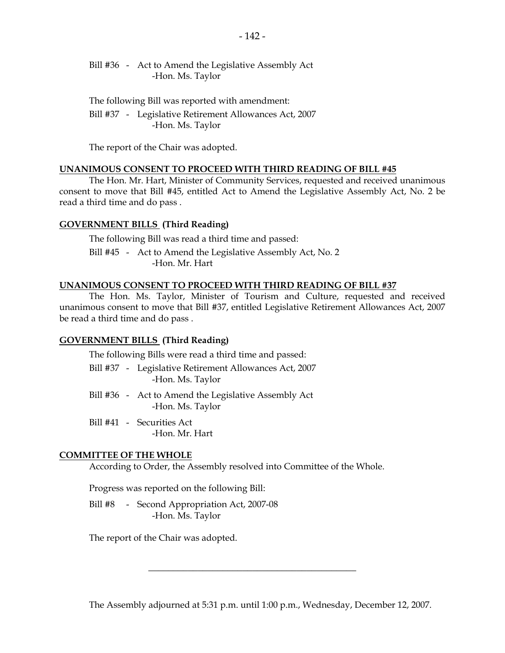Bill #36 - Act to Amend the Legislative Assembly Act -Hon. Ms. Taylor

 The following Bill was reported with amendment: Bill #37 - Legislative Retirement Allowances Act, 2007 -Hon. Ms. Taylor

The report of the Chair was adopted.

#### **UNANIMOUS CONSENT TO PROCEED WITH THIRD READING OF BILL #45**

 The Hon. Mr. Hart, Minister of Community Services, requested and received unanimous consent to move that Bill #45, entitled Act to Amend the Legislative Assembly Act, No. 2 be read a third time and do pass .

#### **GOVERNMENT BILLS (Third Reading)**

The following Bill was read a third time and passed:

Bill #45 - Act to Amend the Legislative Assembly Act, No. 2 -Hon. Mr. Hart

#### **UNANIMOUS CONSENT TO PROCEED WITH THIRD READING OF BILL #37**

 The Hon. Ms. Taylor, Minister of Tourism and Culture, requested and received unanimous consent to move that Bill #37, entitled Legislative Retirement Allowances Act, 2007 be read a third time and do pass .

#### **GOVERNMENT BILLS (Third Reading)**

The following Bills were read a third time and passed:

- Bill #37 Legislative Retirement Allowances Act, 2007 -Hon. Ms. Taylor
- Bill #36 Act to Amend the Legislative Assembly Act -Hon. Ms. Taylor
- Bill #41 Securities Act -Hon. Mr. Hart

#### **COMMITTEE OF THE WHOLE**

According to Order, the Assembly resolved into Committee of the Whole.

Progress was reported on the following Bill:

Bill #8 - Second Appropriation Act, 2007-08 -Hon. Ms. Taylor

The report of the Chair was adopted.

The Assembly adjourned at 5:31 p.m. until 1:00 p.m., Wednesday, December 12, 2007.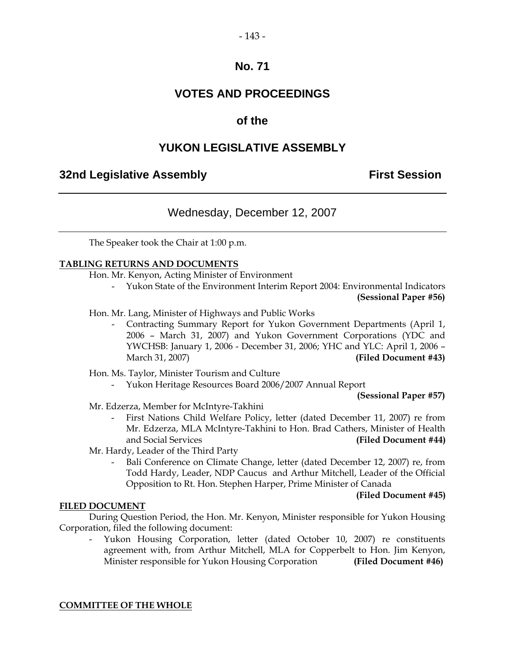#### $-143-$

## **No. 71**

## **VOTES AND PROCEEDINGS**

## **of the**

## **YUKON LEGISLATIVE ASSEMBLY**

## **32nd Legislative Assembly First Session**

## Wednesday, December 12, 2007

The Speaker took the Chair at 1:00 p.m.

#### **TABLING RETURNS AND DOCUMENTS**

Hon. Mr. Kenyon, Acting Minister of Environment

- Yukon State of the Environment Interim Report 2004: Environmental Indicators **(Sessional Paper #56)**
- Hon. Mr. Lang, Minister of Highways and Public Works
	- Contracting Summary Report for Yukon Government Departments (April 1, 2006 – March 31, 2007) and Yukon Government Corporations (YDC and YWCHSB: January 1, 2006 - December 31, 2006; YHC and YLC: April 1, 2006 – March 31, 2007) **(Filed Document #43)**

Hon. Ms. Taylor, Minister Tourism and Culture

- Yukon Heritage Resources Board 2006/2007 Annual Report

**(Sessional Paper #57)** 

Mr. Edzerza, Member for McIntyre-Takhini

- First Nations Child Welfare Policy, letter (dated December 11, 2007) re from Mr. Edzerza, MLA McIntyre-Takhini to Hon. Brad Cathers, Minister of Health and Social Services **(Filed Document #44)**
- Mr. Hardy, Leader of the Third Party
	- Bali Conference on Climate Change, letter (dated December 12, 2007) re, from Todd Hardy, Leader, NDP Caucus and Arthur Mitchell, Leader of the Official Opposition to Rt. Hon. Stephen Harper, Prime Minister of Canada

#### **(Filed Document #45)**

#### **FILED DOCUMENT**

 During Question Period, the Hon. Mr. Kenyon, Minister responsible for Yukon Housing Corporation, filed the following document:

Yukon Housing Corporation, letter (dated October 10, 2007) re constituents agreement with, from Arthur Mitchell, MLA for Copperbelt to Hon. Jim Kenyon, Minister responsible for Yukon Housing Corporation **(Filed Document #46)**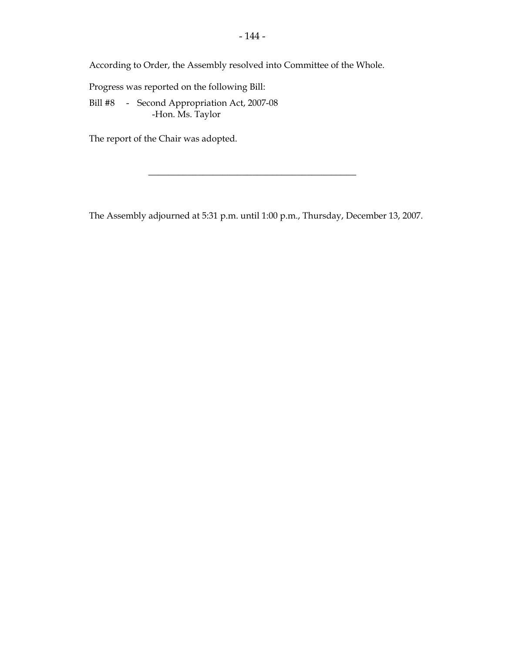According to Order, the Assembly resolved into Committee of the Whole.

Progress was reported on the following Bill:

 Bill #8 - Second Appropriation Act, 2007-08 -Hon. Ms. Taylor

The report of the Chair was adopted.

The Assembly adjourned at 5:31 p.m. until 1:00 p.m., Thursday, December 13, 2007.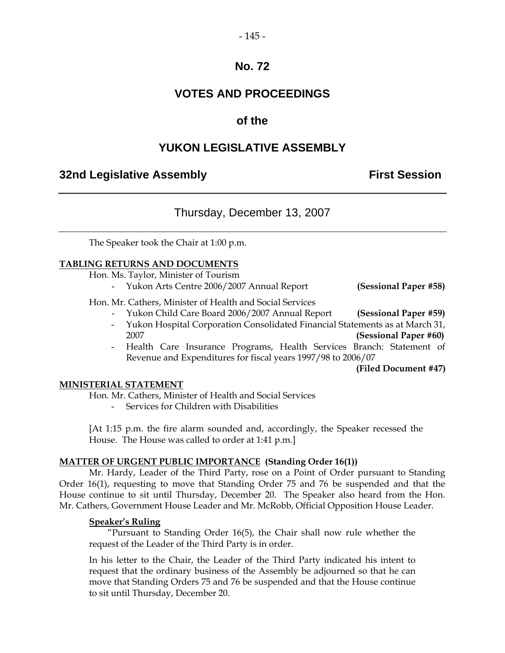#### $-145-$

## **No. 72**

## **VOTES AND PROCEEDINGS**

## **of the**

## **YUKON LEGISLATIVE ASSEMBLY**

## **32nd Legislative Assembly The Contract Session**

## Thursday, December 13, 2007

The Speaker took the Chair at 1:00 p.m.

#### **TABLING RETURNS AND DOCUMENTS**

Hon. Ms. Taylor, Minister of Tourism

- Yukon Arts Centre 2006/2007 Annual Report **(Sessional Paper #58)**

#### Hon. Mr. Cathers, Minister of Health and Social Services

- Yukon Child Care Board 2006/2007 Annual Report **(Sessional Paper #59)**
- Yukon Hospital Corporation Consolidated Financial Statements as at March 31, 2007 **(Sessional Paper #60)**
- Health Care Insurance Programs, Health Services Branch: Statement of Revenue and Expenditures for fiscal years 1997/98 to 2006/07

**(Filed Document #47)** 

#### **MINISTERIAL STATEMENT**

Hon. Mr. Cathers, Minister of Health and Social Services

- Services for Children with Disabilities

 [At 1:15 p.m. the fire alarm sounded and, accordingly, the Speaker recessed the House. The House was called to order at 1:41 p.m.]

#### **MATTER OF URGENT PUBLIC IMPORTANCE (Standing Order 16(1))**

 Mr. Hardy, Leader of the Third Party, rose on a Point of Order pursuant to Standing Order 16(1), requesting to move that Standing Order 75 and 76 be suspended and that the House continue to sit until Thursday, December 20. The Speaker also heard from the Hon. Mr. Cathers, Government House Leader and Mr. McRobb, Official Opposition House Leader.

#### **Speaker's Ruling**

 "Pursuant to Standing Order 16(5), the Chair shall now rule whether the request of the Leader of the Third Party is in order.

 In his letter to the Chair, the Leader of the Third Party indicated his intent to request that the ordinary business of the Assembly be adjourned so that he can move that Standing Orders 75 and 76 be suspended and that the House continue to sit until Thursday, December 20.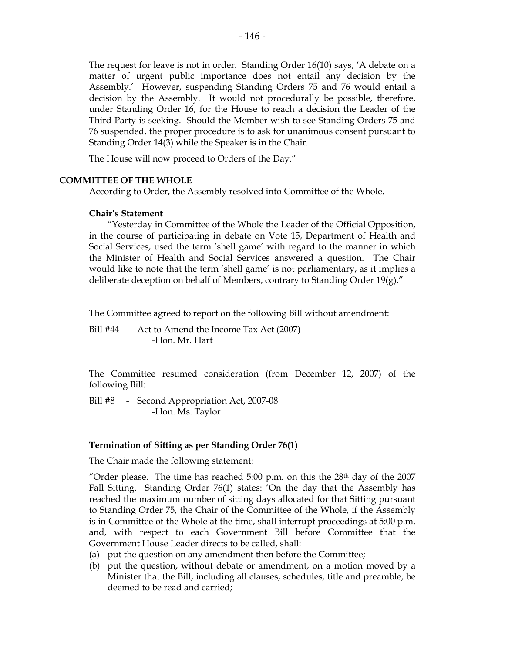The request for leave is not in order. Standing Order 16(10) says, 'A debate on a matter of urgent public importance does not entail any decision by the Assembly.' However, suspending Standing Orders 75 and 76 would entail a decision by the Assembly. It would not procedurally be possible, therefore, under Standing Order 16, for the House to reach a decision the Leader of the Third Party is seeking. Should the Member wish to see Standing Orders 75 and 76 suspended, the proper procedure is to ask for unanimous consent pursuant to Standing Order 14(3) while the Speaker is in the Chair.

The House will now proceed to Orders of the Day."

#### **COMMITTEE OF THE WHOLE**

According to Order, the Assembly resolved into Committee of the Whole.

#### **Chair's Statement**

 "Yesterday in Committee of the Whole the Leader of the Official Opposition, in the course of participating in debate on Vote 15, Department of Health and Social Services, used the term 'shell game' with regard to the manner in which the Minister of Health and Social Services answered a question. The Chair would like to note that the term 'shell game' is not parliamentary, as it implies a deliberate deception on behalf of Members, contrary to Standing Order 19(g)."

The Committee agreed to report on the following Bill without amendment:

Bill #44 - Act to Amend the Income Tax Act (2007) -Hon. Mr. Hart

 The Committee resumed consideration (from December 12, 2007) of the following Bill:

Bill #8 - Second Appropriation Act, 2007-08 -Hon. Ms. Taylor

#### **Termination of Sitting as per Standing Order 76(1)**

The Chair made the following statement:

"Order please. The time has reached 5:00 p.m. on this the  $28<sup>th</sup>$  day of the 2007 Fall Sitting. Standing Order 76(1) states: 'On the day that the Assembly has reached the maximum number of sitting days allocated for that Sitting pursuant to Standing Order 75, the Chair of the Committee of the Whole, if the Assembly is in Committee of the Whole at the time, shall interrupt proceedings at 5:00 p.m. and, with respect to each Government Bill before Committee that the Government House Leader directs to be called, shall:

- (a) put the question on any amendment then before the Committee;
- (b) put the question, without debate or amendment, on a motion moved by a Minister that the Bill, including all clauses, schedules, title and preamble, be deemed to be read and carried;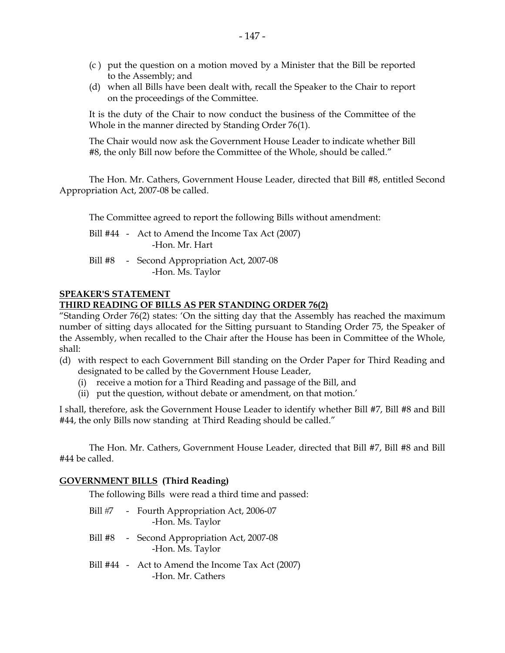- (c ) put the question on a motion moved by a Minister that the Bill be reported to the Assembly; and
- (d) when all Bills have been dealt with, recall the Speaker to the Chair to report on the proceedings of the Committee.

It is the duty of the Chair to now conduct the business of the Committee of the Whole in the manner directed by Standing Order 76(1).

The Chair would now ask the Government House Leader to indicate whether Bill #8, the only Bill now before the Committee of the Whole, should be called."

The Hon. Mr. Cathers, Government House Leader, directed that Bill #8, entitled Second Appropriation Act, 2007-08 be called.

The Committee agreed to report the following Bills without amendment:

| Bill #44 - Act to Amend the Income Tax Act (2007) |
|---------------------------------------------------|
| -Hon. Mr. Hart                                    |

Bill #8 - Second Appropriation Act, 2007-08 -Hon. Ms. Taylor

#### **SPEAKER'S STATEMENT**

#### **THIRD READING OF BILLS AS PER STANDING ORDER 76(2)**

"Standing Order 76(2) states: 'On the sitting day that the Assembly has reached the maximum number of sitting days allocated for the Sitting pursuant to Standing Order 75, the Speaker of the Assembly, when recalled to the Chair after the House has been in Committee of the Whole, shall:

- (d) with respect to each Government Bill standing on the Order Paper for Third Reading and designated to be called by the Government House Leader,
	- (i) receive a motion for a Third Reading and passage of the Bill, and
	- (ii) put the question, without debate or amendment, on that motion.'

I shall, therefore, ask the Government House Leader to identify whether Bill #7, Bill #8 and Bill #44, the only Bills now standing at Third Reading should be called."

The Hon. Mr. Cathers, Government House Leader, directed that Bill #7, Bill #8 and Bill #44 be called.

#### **GOVERNMENT BILLS (Third Reading)**

The following Bills were read a third time and passed:

- Bill #7 Fourth Appropriation Act, 2006-07 -Hon. Ms. Taylor Bill #8 - Second Appropriation Act, 2007-08 -Hon. Ms. Taylor
- Bill #44 Act to Amend the Income Tax Act (2007) -Hon. Mr. Cathers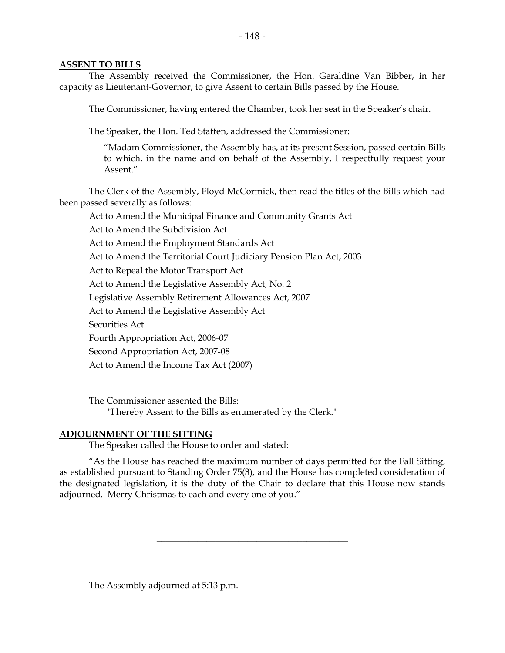#### **ASSENT TO BILLS**

 The Assembly received the Commissioner, the Hon. Geraldine Van Bibber, in her capacity as Lieutenant-Governor, to give Assent to certain Bills passed by the House.

The Commissioner, having entered the Chamber, took her seat in the Speaker's chair.

The Speaker, the Hon. Ted Staffen, addressed the Commissioner:

 "Madam Commissioner, the Assembly has, at its present Session, passed certain Bills to which, in the name and on behalf of the Assembly, I respectfully request your Assent."

 The Clerk of the Assembly, Floyd McCormick, then read the titles of the Bills which had been passed severally as follows:

Act to Amend the Municipal Finance and Community Grants Act

Act to Amend the Subdivision Act

Act to Amend the Employment Standards Act

Act to Amend the Territorial Court Judiciary Pension Plan Act, 2003

Act to Repeal the Motor Transport Act

Act to Amend the Legislative Assembly Act, No. 2

Legislative Assembly Retirement Allowances Act, 2007

Act to Amend the Legislative Assembly Act

Securities Act

Fourth Appropriation Act, 2006-07

Second Appropriation Act, 2007-08

Act to Amend the Income Tax Act (2007)

 The Commissioner assented the Bills: "I hereby Assent to the Bills as enumerated by the Clerk."

#### **ADJOURNMENT OF THE SITTING**

The Speaker called the House to order and stated:

 "As the House has reached the maximum number of days permitted for the Fall Sitting, as established pursuant to Standing Order 75(3), and the House has completed consideration of the designated legislation, it is the duty of the Chair to declare that this House now stands adjourned. Merry Christmas to each and every one of you."

 $\frac{1}{2}$  ,  $\frac{1}{2}$  ,  $\frac{1}{2}$  ,  $\frac{1}{2}$  ,  $\frac{1}{2}$  ,  $\frac{1}{2}$  ,  $\frac{1}{2}$  ,  $\frac{1}{2}$  ,  $\frac{1}{2}$  ,  $\frac{1}{2}$  ,  $\frac{1}{2}$  ,  $\frac{1}{2}$  ,  $\frac{1}{2}$  ,  $\frac{1}{2}$  ,  $\frac{1}{2}$  ,  $\frac{1}{2}$  ,  $\frac{1}{2}$  ,  $\frac{1}{2}$  ,  $\frac{1$ 

The Assembly adjourned at 5:13 p.m.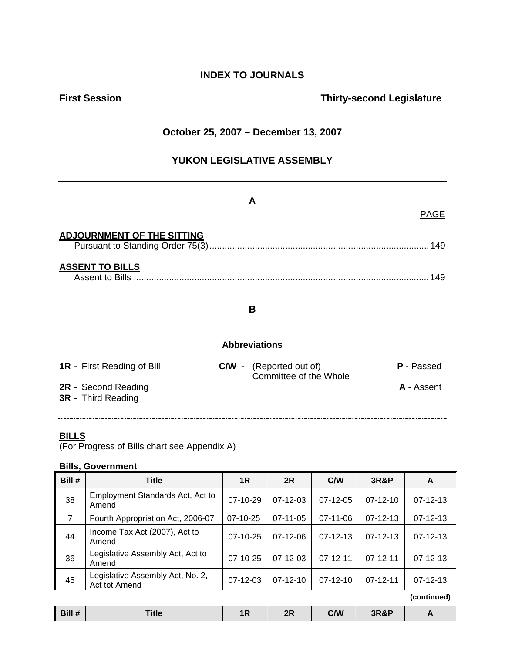## **INDEX TO JOURNALS**

## **First Session Contract Session Contract Session Contract Contract Contract Contract Contract Contract Contract Contract Contract Contract Contract Contract Contract Contract Contract Contract Contract Contract Contract Co**

## **October 25, 2007 – December 13, 2007**

## **YUKON LEGISLATIVE ASSEMBLY**

|                                                  | A                                                        | <b>PAGE</b>       |  |  |
|--------------------------------------------------|----------------------------------------------------------|-------------------|--|--|
| <b>ADJOURNMENT OF THE SITTING</b>                |                                                          |                   |  |  |
| <b>ASSENT TO BILLS</b>                           |                                                          | 149               |  |  |
| B                                                |                                                          |                   |  |  |
| <b>Abbreviations</b>                             |                                                          |                   |  |  |
| <b>1R</b> - First Reading of Bill                | <b>C/W</b> - (Reported out of)<br>Committee of the Whole | <b>P</b> - Passed |  |  |
| 2R - Second Reading<br><b>3R</b> - Third Reading |                                                          | A - Assent        |  |  |

#### **BILLS**

(For Progress of Bills chart see Appendix A)

#### **Bills, Government**

| Bill #         | <b>Title</b>                                      | 1R             | 2R             | C/W            | <b>3R&amp;P</b> | A              |
|----------------|---------------------------------------------------|----------------|----------------|----------------|-----------------|----------------|
| 38             | Employment Standards Act, Act to<br>Amend         | $07-10-29$     | $07-12-03$     | $07-12-05$     | $07-12-10$      | $07 - 12 - 13$ |
| $\overline{7}$ | Fourth Appropriation Act, 2006-07                 | $07-10-25$     | $07 - 11 - 05$ | 07-11-06       | $07 - 12 - 13$  | $07 - 12 - 13$ |
| 44             | Income Tax Act (2007), Act to<br>Amend            | 07-10-25       | $07-12-06$     | $07 - 12 - 13$ | $07 - 12 - 13$  | $07 - 12 - 13$ |
| 36             | Legislative Assembly Act, Act to<br>Amend         | $07-10-25$     | $07-12-03$     | $07-12-11$     | $07 - 12 - 11$  | $07 - 12 - 13$ |
| 45             | Legislative Assembly Act, No. 2,<br>Act tot Amend | $07 - 12 - 03$ | $07 - 12 - 10$ | $07-12-10$     | $07 - 12 - 11$  | $07 - 12 - 13$ |
|                |                                                   |                |                |                |                 | (continued)    |

| Bill # | <b>Title</b> | 1R. | 2R | C/W | <b>3R&amp;P</b> |  |
|--------|--------------|-----|----|-----|-----------------|--|
|        |              |     |    |     |                 |  |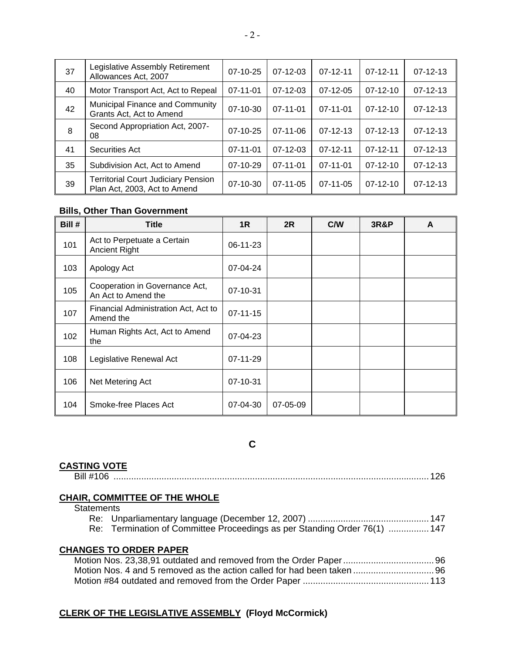| 37 | Legislative Assembly Retirement<br>Allowances Act, 2007                    | $07-10-25$     | $07-12-03$     | $07 - 12 - 11$ | $07 - 12 - 11$ | $07 - 12 - 13$ |
|----|----------------------------------------------------------------------------|----------------|----------------|----------------|----------------|----------------|
| 40 | Motor Transport Act, Act to Repeal                                         | $07 - 11 - 01$ | $07 - 12 - 03$ | $07-12-05$     | $07-12-10$     | $07 - 12 - 13$ |
| 42 | Municipal Finance and Community<br>Grants Act, Act to Amend                | $07-10-30$     | 07-11-01       | $07 - 11 - 01$ | $07 - 12 - 10$ | $07 - 12 - 13$ |
| 8  | Second Appropriation Act, 2007-<br>08                                      | $07-10-25$     | $07 - 11 - 06$ | $07 - 12 - 13$ | $07 - 12 - 13$ | $07 - 12 - 13$ |
| 41 | <b>Securities Act</b>                                                      | $07-11-01$     | $07-12-03$     | $07 - 12 - 11$ | $07 - 12 - 11$ | $07-12-13$     |
| 35 | Subdivision Act, Act to Amend                                              | $07-10-29$     | $07 - 11 - 01$ | $07 - 11 - 01$ | $07-12-10$     | $07 - 12 - 13$ |
| 39 | <b>Territorial Court Judiciary Pension</b><br>Plan Act, 2003, Act to Amend | $07 - 10 - 30$ | $07 - 11 - 05$ | $07 - 11 - 05$ | $07 - 12 - 10$ | $07 - 12 - 13$ |

#### **Bills, Other Than Government**

| Bill # | <b>Title</b>                                          | 1R             | 2R       | C/W | <b>3R&amp;P</b> | A |
|--------|-------------------------------------------------------|----------------|----------|-----|-----------------|---|
| 101    | Act to Perpetuate a Certain<br><b>Ancient Right</b>   | 06-11-23       |          |     |                 |   |
| 103    | Apology Act                                           | 07-04-24       |          |     |                 |   |
| 105    | Cooperation in Governance Act,<br>An Act to Amend the | 07-10-31       |          |     |                 |   |
| 107    | Financial Administration Act, Act to<br>Amend the     | $07 - 11 - 15$ |          |     |                 |   |
| 102    | Human Rights Act, Act to Amend<br>the                 | 07-04-23       |          |     |                 |   |
| 108    | Legislative Renewal Act                               | 07-11-29       |          |     |                 |   |
| 106    | Net Metering Act                                      | 07-10-31       |          |     |                 |   |
| 104    | Smoke-free Places Act                                 | 07-04-30       | 07-05-09 |     |                 |   |

## **C**

#### **CASTING VOTE**

|  | . We have a consequence of the consequence of the consequence of the consequence of the consequence of the consequence of the consequence of the consequence of the consequence of the consequence of the consequence of the c |
|--|--------------------------------------------------------------------------------------------------------------------------------------------------------------------------------------------------------------------------------|
|--|--------------------------------------------------------------------------------------------------------------------------------------------------------------------------------------------------------------------------------|

#### **CHAIR, COMMITTEE OF THE WHOLE**

**Statements** 

| Re: Termination of Committee Proceedings as per Standing Order 76(1)  147 |  |
|---------------------------------------------------------------------------|--|

#### **CHANGES TO ORDER PAPER**

## **CLERK OF THE LEGISLATIVE ASSEMBLY (Floyd McCormick)**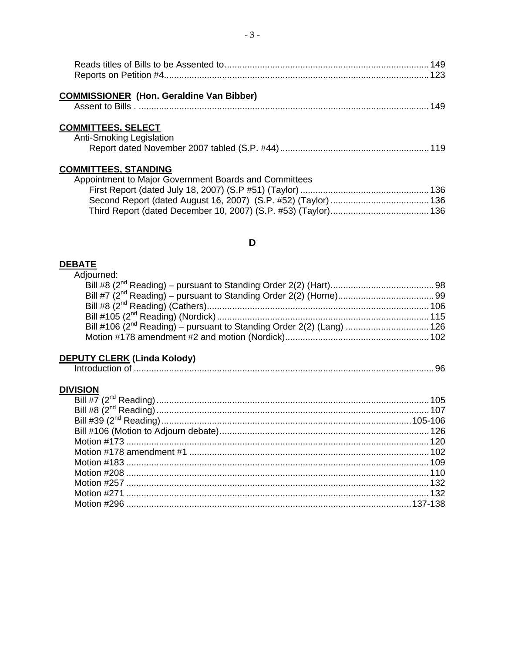| <b>COMMISSIONER (Hon. Geraldine Van Bibber)</b>       |  |
|-------------------------------------------------------|--|
|                                                       |  |
| <b>COMMITTEES, SELECT</b>                             |  |
| <b>Anti-Smoking Legislation</b>                       |  |
|                                                       |  |
| <b>COMMITTEES, STANDING</b>                           |  |
| Appointment to Major Government Boards and Committees |  |

## D

# DEBATE<br>Adjouri

## **DEPUTY CLERK (Linda Kolody)**

## **DIVISION**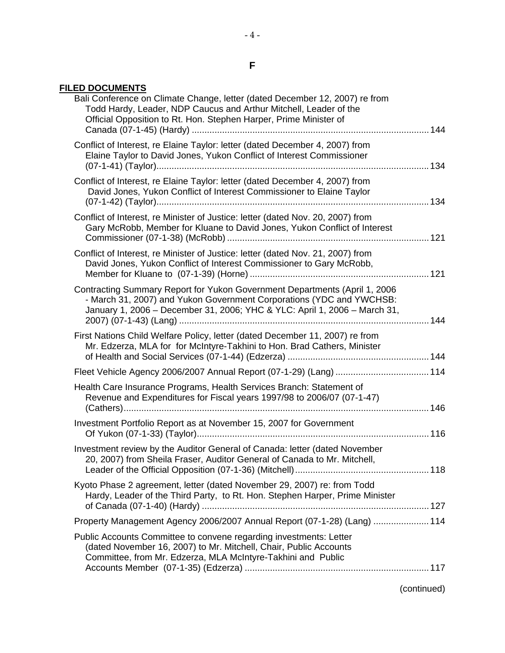## **FILED DOCUMENTS**

| Bali Conference on Climate Change, letter (dated December 12, 2007) re from<br>Todd Hardy, Leader, NDP Caucus and Arthur Mitchell, Leader of the<br>Official Opposition to Rt. Hon. Stephen Harper, Prime Minister of           |  |
|---------------------------------------------------------------------------------------------------------------------------------------------------------------------------------------------------------------------------------|--|
| Conflict of Interest, re Elaine Taylor: letter (dated December 4, 2007) from<br>Elaine Taylor to David Jones, Yukon Conflict of Interest Commissioner                                                                           |  |
| Conflict of Interest, re Elaine Taylor: letter (dated December 4, 2007) from<br>David Jones, Yukon Conflict of Interest Commissioner to Elaine Taylor                                                                           |  |
| Conflict of Interest, re Minister of Justice: letter (dated Nov. 20, 2007) from<br>Gary McRobb, Member for Kluane to David Jones, Yukon Conflict of Interest                                                                    |  |
| Conflict of Interest, re Minister of Justice: letter (dated Nov. 21, 2007) from<br>David Jones, Yukon Conflict of Interest Commissioner to Gary McRobb,                                                                         |  |
| Contracting Summary Report for Yukon Government Departments (April 1, 2006<br>- March 31, 2007) and Yukon Government Corporations (YDC and YWCHSB:<br>January 1, 2006 - December 31, 2006; YHC & YLC: April 1, 2006 - March 31, |  |
| First Nations Child Welfare Policy, letter (dated December 11, 2007) re from<br>Mr. Edzerza, MLA for for McIntyre-Takhini to Hon. Brad Cathers, Minister                                                                        |  |
|                                                                                                                                                                                                                                 |  |
| Health Care Insurance Programs, Health Services Branch: Statement of<br>Revenue and Expenditures for Fiscal years 1997/98 to 2006/07 (07-1-47)                                                                                  |  |
| Investment Portfolio Report as at November 15, 2007 for Government                                                                                                                                                              |  |
| Investment review by the Auditor General of Canada: letter (dated November<br>20, 2007) from Sheila Fraser, Auditor General of Canada to Mr. Mitchell,                                                                          |  |
| Kyoto Phase 2 agreement, letter (dated November 29, 2007) re: from Todd<br>Hardy, Leader of the Third Party, to Rt. Hon. Stephen Harper, Prime Minister                                                                         |  |
| Property Management Agency 2006/2007 Annual Report (07-1-28) (Lang)  114                                                                                                                                                        |  |
| Public Accounts Committee to convene regarding investments: Letter<br>(dated November 16, 2007) to Mr. Mitchell, Chair, Public Accounts<br>Committee, from Mr. Edzerza, MLA McIntyre-Takhini and Public                         |  |
|                                                                                                                                                                                                                                 |  |

(continued)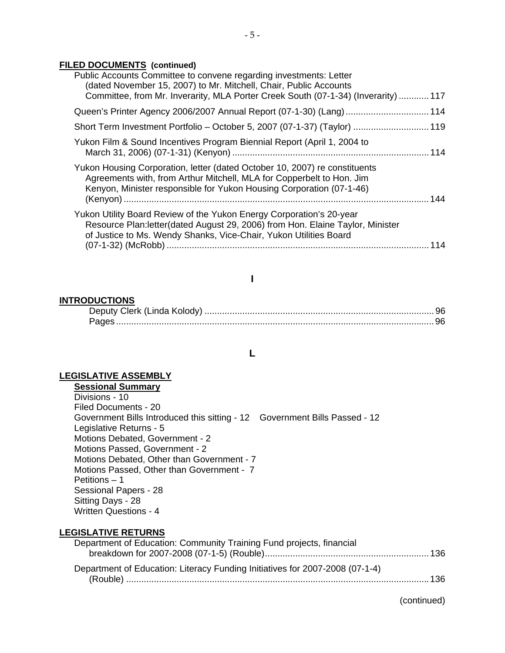#### **FILED DOCUMENTS (continued)**

| Public Accounts Committee to convene regarding investments: Letter<br>(dated November 15, 2007) to Mr. Mitchell, Chair, Public Accounts<br>Committee, from Mr. Inverarity, MLA Porter Creek South (07-1-34) (Inverarity)  117 |     |
|-------------------------------------------------------------------------------------------------------------------------------------------------------------------------------------------------------------------------------|-----|
| Queen's Printer Agency 2006/2007 Annual Report (07-1-30) (Lang)  114                                                                                                                                                          |     |
| Short Term Investment Portfolio – October 5, 2007 (07-1-37) (Taylor)  119                                                                                                                                                     |     |
| Yukon Film & Sound Incentives Program Biennial Report (April 1, 2004 to                                                                                                                                                       |     |
| Yukon Housing Corporation, letter (dated October 10, 2007) re constituents<br>Agreements with, from Arthur Mitchell, MLA for Copperbelt to Hon. Jim<br>Kenyon, Minister responsible for Yukon Housing Corporation (07-1-46)   |     |
| Yukon Utility Board Review of the Yukon Energy Corporation's 20-year<br>Resource Plan:letter(dated August 29, 2006) from Hon. Elaine Taylor, Minister<br>of Justice to Ms. Wendy Shanks, Vice-Chair, Yukon Utilities Board    | 114 |
|                                                                                                                                                                                                                               |     |

#### **I**

#### **INTRODUCTIONS**

| Deputy Clerk (Linda Kolody) |  |
|-----------------------------|--|
|                             |  |

**L** 

#### **LEGISLATIVE ASSEMBLY**

**Sessional Summary** Divisions - 10 Filed Documents - 20 Government Bills Introduced this sitting - 12 Government Bills Passed - 12 Legislative Returns - 5 Motions Debated, Government - 2 Motions Passed, Government - 2 Motions Debated, Other than Government - 7 Motions Passed, Other than Government - 7 Petitions – 1 Sessional Papers - 28 Sitting Days - 28 Written Questions - 4

#### **LEGISLATIVE RETURNS**

| Department of Education: Community Training Fund projects, financial         |  |
|------------------------------------------------------------------------------|--|
|                                                                              |  |
| Department of Education: Literacy Funding Initiatives for 2007-2008 (07-1-4) |  |
|                                                                              |  |

(continued)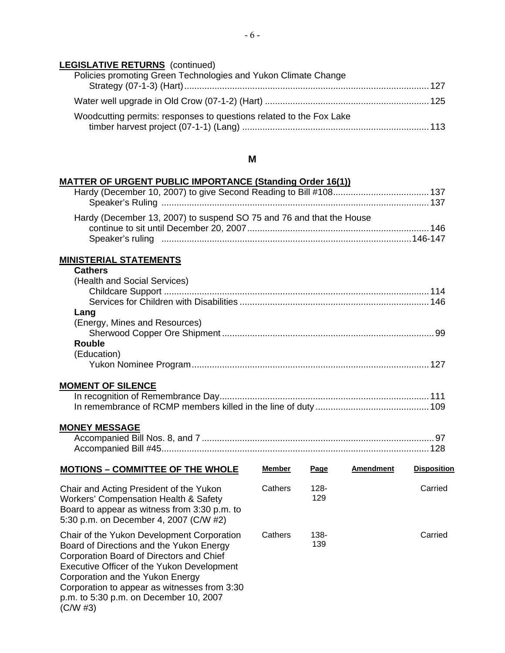## **LEGISLATIVE RETURNS** (continued)

| Policies promoting Green Technologies and Yukon Climate Change      |
|---------------------------------------------------------------------|
|                                                                     |
| Woodcutting permits: responses to questions related to the Fox Lake |

#### **M**

#### **MATTER OF URGENT PUBLIC IMPORTANCE (Standing Order 16(1))**

| Hardy (December 13, 2007) to suspend SO 75 and 76 and that the House |  |
|----------------------------------------------------------------------|--|
|                                                                      |  |
|                                                                      |  |

#### **MINISTERIAL STATEMENTS**

#### **Cathers**

| (Health and Social Services)  |     |
|-------------------------------|-----|
|                               | 146 |
| Lang                          |     |
| (Energy, Mines and Resources) |     |
|                               |     |
| Rouble                        |     |
| (Education)                   |     |
|                               |     |

#### **MOMENT OF SILENCE**

#### **MONEY MESSAGE**

| Accompanied Bill Nos. 8, and 7 |  |
|--------------------------------|--|
|                                |  |

| <b>MOTIONS - COMMITTEE OF THE WHOLE</b>                                                                                                                                                                                                                                                                                   | <b>Member</b> | Page           | <b>Amendment</b> | <b>Disposition</b> |
|---------------------------------------------------------------------------------------------------------------------------------------------------------------------------------------------------------------------------------------------------------------------------------------------------------------------------|---------------|----------------|------------------|--------------------|
| Chair and Acting President of the Yukon<br><b>Workers' Compensation Health &amp; Safety</b><br>Board to appear as witness from 3:30 p.m. to<br>5:30 p.m. on December 4, 2007 (C/W #2)                                                                                                                                     | Cathers       | $128 -$<br>129 |                  | Carried            |
| Chair of the Yukon Development Corporation<br>Board of Directions and the Yukon Energy<br>Corporation Board of Directors and Chief<br>Executive Officer of the Yukon Development<br>Corporation and the Yukon Energy<br>Corporation to appear as witnesses from 3:30<br>p.m. to 5:30 p.m. on December 10, 2007<br>(C/W#3) | Cathers       | 138-<br>139    |                  | Carried            |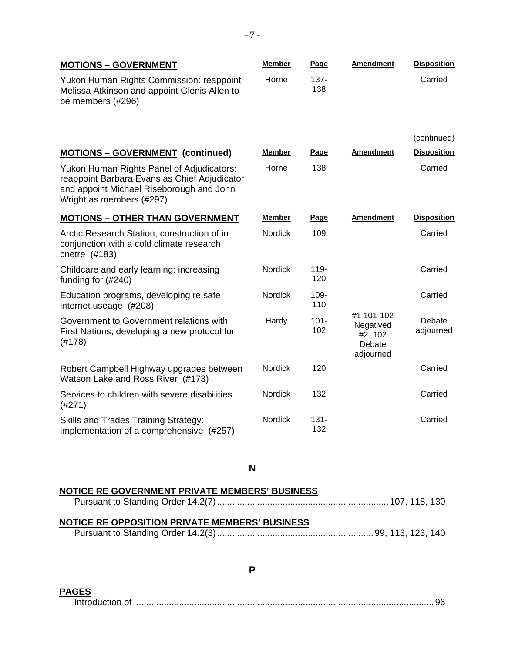| <b>MOTIONS - GOVERNMENT</b>                                                                                                                                       | <b>Member</b>  | Page           | <b>Amendment</b>                                         | <b>Disposition</b>  |
|-------------------------------------------------------------------------------------------------------------------------------------------------------------------|----------------|----------------|----------------------------------------------------------|---------------------|
| Yukon Human Rights Commission: reappoint<br>Melissa Atkinson and appoint Glenis Allen to<br>be members (#296)                                                     | Horne          | $137 -$<br>138 |                                                          | Carried             |
|                                                                                                                                                                   |                |                |                                                          | (continued)         |
| <b>MOTIONS - GOVERNMENT (continued)</b>                                                                                                                           | <b>Member</b>  | Page           | <b>Amendment</b>                                         | <b>Disposition</b>  |
| Yukon Human Rights Panel of Adjudicators:<br>reappoint Barbara Evans as Chief Adjudicator<br>and appoint Michael Riseborough and John<br>Wright as members (#297) | Horne          | 138            |                                                          | Carried             |
| <b>MOTIONS - OTHER THAN GOVERNMENT</b>                                                                                                                            | <b>Member</b>  | <b>Page</b>    | <b>Amendment</b>                                         | <b>Disposition</b>  |
| Arctic Research Station, construction of in<br>conjunction with a cold climate research<br>cnetre (#183)                                                          | <b>Nordick</b> | 109            |                                                          | Carried             |
| Childcare and early learning: increasing<br>funding for $(\#240)$                                                                                                 | <b>Nordick</b> | $119 -$<br>120 |                                                          | Carried             |
| Education programs, developing re safe<br>internet useage (#208)                                                                                                  | Nordick        | 109-<br>110    |                                                          | Carried             |
| Government to Government relations with<br>First Nations, developing a new protocol for<br>(#178)                                                                 | Hardy          | $101 -$<br>102 | #1 101-102<br>Negatived<br>#2 102<br>Debate<br>adjourned | Debate<br>adjourned |
| Robert Campbell Highway upgrades between<br>Watson Lake and Ross River (#173)                                                                                     | <b>Nordick</b> | 120            |                                                          | Carried             |
| Services to children with severe disabilities<br>(#271)                                                                                                           | Nordick        | 132            |                                                          | Carried             |
| Skills and Trades Training Strategy:<br>implementation of a comprehensive (#257)                                                                                  | Nordick        | $131 -$<br>132 |                                                          | Carried             |

**N** 

| NOTICE RE GOVERNMENT PRIVATE MEMBERS' BUSINESS |  |
|------------------------------------------------|--|
|                                                |  |
|                                                |  |
| NOTICE RE OPPOSITION PRIVATE MEMBERS' BUSINESS |  |
|                                                |  |

**P** 

**PAGES**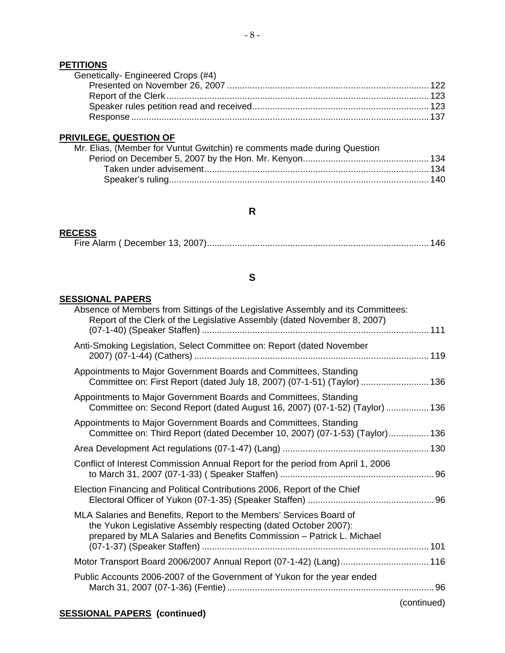#### **PETITIONS**

| Genetically-Engineered Crops (#4) |  |
|-----------------------------------|--|
|                                   |  |
|                                   |  |
|                                   |  |
|                                   |  |
|                                   |  |

## **PRIVILEGE, QUESTION OF**

## **R**

## **RECESS**

|--|--|--|--|

## **S**

#### **SESSIONAL PAPERS**

|             | Absence of Members from Sittings of the Legislative Assembly and its Committees:<br>Report of the Clerk of the Legislative Assembly (dated November 8, 2007)                                                    |
|-------------|-----------------------------------------------------------------------------------------------------------------------------------------------------------------------------------------------------------------|
|             | Anti-Smoking Legislation, Select Committee on: Report (dated November                                                                                                                                           |
|             | Appointments to Major Government Boards and Committees, Standing<br>Committee on: First Report (dated July 18, 2007) (07-1-51) (Taylor)  136                                                                    |
|             | Appointments to Major Government Boards and Committees, Standing<br>Committee on: Second Report (dated August 16, 2007) (07-1-52) (Taylor)  136                                                                 |
|             | Appointments to Major Government Boards and Committees, Standing<br>Committee on: Third Report (dated December 10, 2007) (07-1-53) (Taylor) 136                                                                 |
|             |                                                                                                                                                                                                                 |
|             | Conflict of Interest Commission Annual Report for the period from April 1, 2006                                                                                                                                 |
|             | Election Financing and Political Contributions 2006, Report of the Chief                                                                                                                                        |
|             | MLA Salaries and Benefits, Report to the Members' Services Board of<br>the Yukon Legislative Assembly respecting (dated October 2007):<br>prepared by MLA Salaries and Benefits Commission - Patrick L. Michael |
|             | Motor Transport Board 2006/2007 Annual Report (07-1-42) (Lang) 116                                                                                                                                              |
|             | Public Accounts 2006-2007 of the Government of Yukon for the year ended                                                                                                                                         |
| (continued) |                                                                                                                                                                                                                 |

## **SESSIONAL PAPERS (continued)**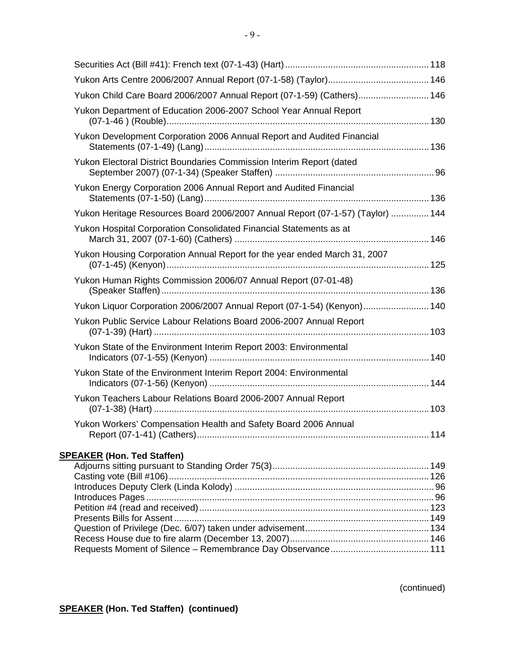| Yukon Child Care Board 2006/2007 Annual Report (07-1-59) (Cathers) 146         |  |
|--------------------------------------------------------------------------------|--|
| Yukon Department of Education 2006-2007 School Year Annual Report              |  |
| Yukon Development Corporation 2006 Annual Report and Audited Financial         |  |
| Yukon Electoral District Boundaries Commission Interim Report (dated           |  |
| Yukon Energy Corporation 2006 Annual Report and Audited Financial              |  |
| Yukon Heritage Resources Board 2006/2007 Annual Report (07-1-57) (Taylor)  144 |  |
| Yukon Hospital Corporation Consolidated Financial Statements as at             |  |
| Yukon Housing Corporation Annual Report for the year ended March 31, 2007      |  |
| Yukon Human Rights Commission 2006/07 Annual Report (07-01-48)                 |  |
| Yukon Liquor Corporation 2006/2007 Annual Report (07-1-54) (Kenyon) 140        |  |
| Yukon Public Service Labour Relations Board 2006-2007 Annual Report            |  |
| Yukon State of the Environment Interim Report 2003: Environmental              |  |
| Yukon State of the Environment Interim Report 2004: Environmental              |  |
| Yukon Teachers Labour Relations Board 2006-2007 Annual Report                  |  |
| Yukon Workers' Compensation Health and Safety Board 2006 Annual                |  |
| <b>SPEAKER (Hon. Ted Staffen)</b>                                              |  |
|                                                                                |  |
|                                                                                |  |
|                                                                                |  |
|                                                                                |  |
|                                                                                |  |
|                                                                                |  |
|                                                                                |  |

(continued)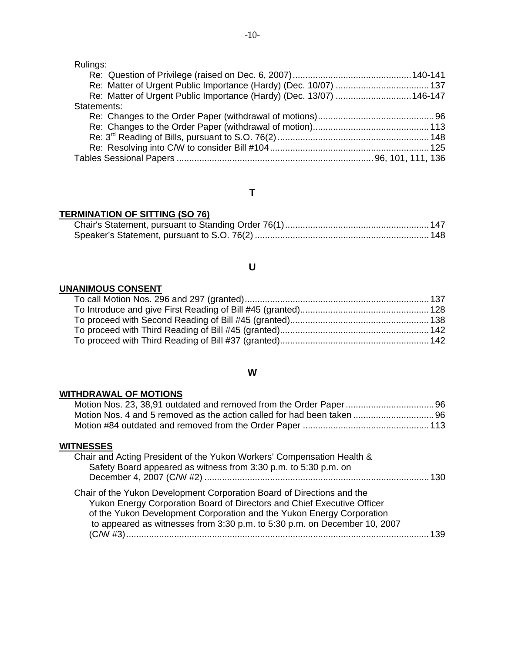Rulings:

| Re: Matter of Urgent Public Importance (Hardy) (Dec. 13/07)  146-147 |  |
|----------------------------------------------------------------------|--|
| Statements:                                                          |  |
|                                                                      |  |
|                                                                      |  |
|                                                                      |  |
|                                                                      |  |
|                                                                      |  |

## **T**

## **TERMINATION OF SITTING (SO 76)**

## **U**

## **UNANIMOUS CONSENT**

## **W**

## **WITHDRAWAL OF MOTIONS**

## **WITNESSES**

| Chair and Acting President of the Yukon Workers' Compensation Health &<br>Safety Board appeared as witness from 3:30 p.m. to 5:30 p.m. on                                                                                                                                                               | . 130. |
|---------------------------------------------------------------------------------------------------------------------------------------------------------------------------------------------------------------------------------------------------------------------------------------------------------|--------|
| Chair of the Yukon Development Corporation Board of Directions and the<br>Yukon Energy Corporation Board of Directors and Chief Executive Officer<br>of the Yukon Development Corporation and the Yukon Energy Corporation<br>to appeared as witnesses from 3:30 p.m. to 5:30 p.m. on December 10, 2007 | 139    |
|                                                                                                                                                                                                                                                                                                         |        |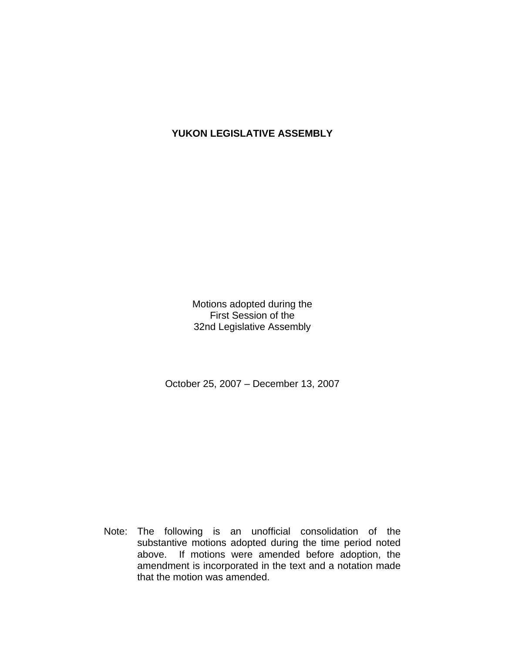## **YUKON LEGISLATIVE ASSEMBLY**

Motions adopted during the First Session of the 32nd Legislative Assembly

October 25, 2007 – December 13, 2007

 Note: The following is an unofficial consolidation of the substantive motions adopted during the time period noted above. If motions were amended before adoption, the amendment is incorporated in the text and a notation made that the motion was amended.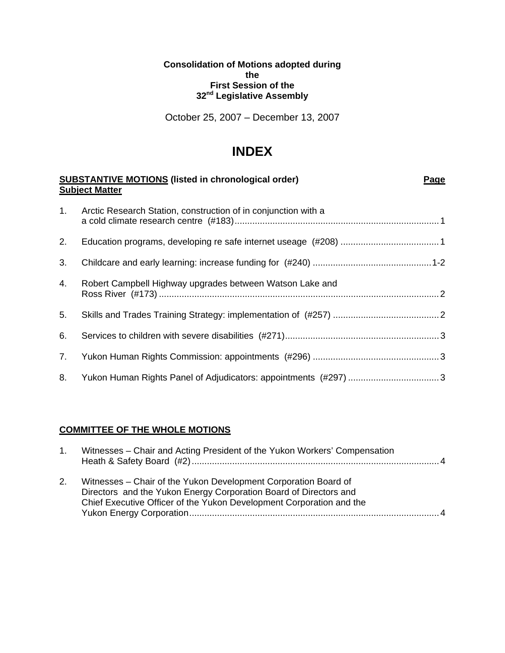#### **Consolidation of Motions adopted during the First Session of the 32nd Legislative Assembly**

October 25, 2007 – December 13, 2007

## **INDEX**

|    | <b>SUBSTANTIVE MOTIONS (listed in chronological order)</b><br><b>Subject Matter</b> | <b>Page</b> |
|----|-------------------------------------------------------------------------------------|-------------|
| 1. | Arctic Research Station, construction of in conjunction with a                      |             |
| 2. |                                                                                     |             |
| 3. |                                                                                     |             |
| 4. | Robert Campbell Highway upgrades between Watson Lake and                            |             |
| 5. |                                                                                     |             |
| 6. |                                                                                     |             |
| 7. |                                                                                     |             |
| 8. |                                                                                     |             |

#### **COMMITTEE OF THE WHOLE MOTIONS**

| $\mathbf{1}$ . | Witnesses - Chair and Acting President of the Yukon Workers' Compensation                                                                                                                                    | 4            |
|----------------|--------------------------------------------------------------------------------------------------------------------------------------------------------------------------------------------------------------|--------------|
| 2.             | Witnesses – Chair of the Yukon Development Corporation Board of<br>Directors and the Yukon Energy Corporation Board of Directors and<br>Chief Executive Officer of the Yukon Development Corporation and the | $\mathbf{A}$ |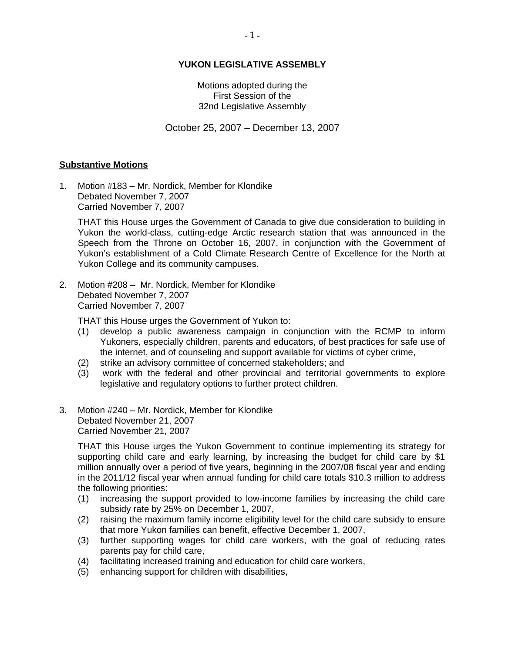#### **YUKON LEGISLATIVE ASSEMBLY**

Motions adopted during the First Session of the 32nd Legislative Assembly

October 25, 2007 – December 13, 2007

#### **Substantive Motions**

1. Motion #183 – Mr. Nordick, Member for Klondike Debated November 7, 2007 Carried November 7, 2007

 THAT this House urges the Government of Canada to give due consideration to building in Yukon the world-class, cutting-edge Arctic research station that was announced in the Speech from the Throne on October 16, 2007, in conjunction with the Government of Yukon's establishment of a Cold Climate Research Centre of Excellence for the North at Yukon College and its community campuses.

2. Motion #208 – Mr. Nordick, Member for Klondike Debated November 7, 2007 Carried November 7, 2007

THAT this House urges the Government of Yukon to:

- (1) develop a public awareness campaign in conjunction with the RCMP to inform Yukoners, especially children, parents and educators, of best practices for safe use of the internet, and of counseling and support available for victims of cyber crime,
- (2) strike an advisory committee of concerned stakeholders; and
- (3) work with the federal and other provincial and territorial governments to explore legislative and regulatory options to further protect children.
- 3. Motion #240 Mr. Nordick, Member for Klondike Debated November 21, 2007 Carried November 21, 2007

 THAT this House urges the Yukon Government to continue implementing its strategy for supporting child care and early learning, by increasing the budget for child care by \$1 million annually over a period of five years, beginning in the 2007/08 fiscal year and ending in the 2011/12 fiscal year when annual funding for child care totals \$10.3 million to address the following priorities:

- (1) increasing the support provided to low-income families by increasing the child care subsidy rate by 25% on December 1, 2007,
- (2) raising the maximum family income eligibility level for the child care subsidy to ensure that more Yukon families can benefit, effective December 1, 2007,
- (3) further supporting wages for child care workers, with the goal of reducing rates parents pay for child care,
- (4) facilitating increased training and education for child care workers,
- (5) enhancing support for children with disabilities,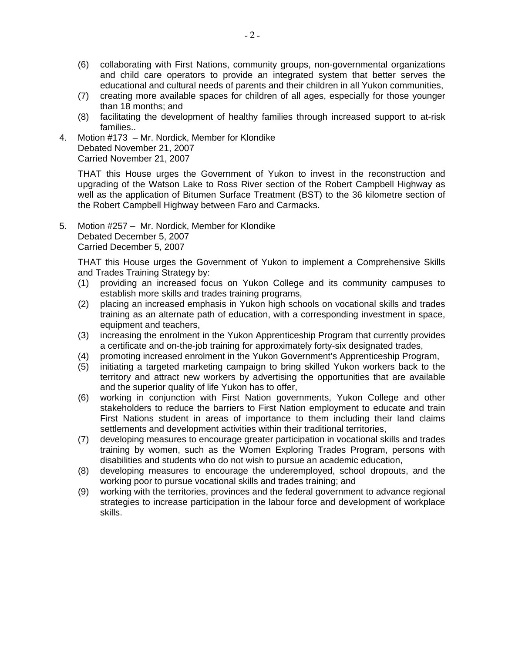- (6) collaborating with First Nations, community groups, non-governmental organizations and child care operators to provide an integrated system that better serves the educational and cultural needs of parents and their children in all Yukon communities,
- (7) creating more available spaces for children of all ages, especially for those younger than 18 months; and
- (8) facilitating the development of healthy families through increased support to at-risk families..

4. Motion #173 – Mr. Nordick, Member for Klondike Debated November 21, 2007 Carried November 21, 2007

 THAT this House urges the Government of Yukon to invest in the reconstruction and upgrading of the Watson Lake to Ross River section of the Robert Campbell Highway as well as the application of Bitumen Surface Treatment (BST) to the 36 kilometre section of the Robert Campbell Highway between Faro and Carmacks.

5. Motion #257 – Mr. Nordick, Member for Klondike Debated December 5, 2007 Carried December 5, 2007

 THAT this House urges the Government of Yukon to implement a Comprehensive Skills and Trades Training Strategy by:

- (1) providing an increased focus on Yukon College and its community campuses to establish more skills and trades training programs,
- (2) placing an increased emphasis in Yukon high schools on vocational skills and trades training as an alternate path of education, with a corresponding investment in space, equipment and teachers,
- (3) increasing the enrolment in the Yukon Apprenticeship Program that currently provides a certificate and on-the-job training for approximately forty-six designated trades,
- (4) promoting increased enrolment in the Yukon Government's Apprenticeship Program,
- (5) initiating a targeted marketing campaign to bring skilled Yukon workers back to the territory and attract new workers by advertising the opportunities that are available and the superior quality of life Yukon has to offer,
- (6) working in conjunction with First Nation governments, Yukon College and other stakeholders to reduce the barriers to First Nation employment to educate and train First Nations student in areas of importance to them including their land claims settlements and development activities within their traditional territories,
- (7) developing measures to encourage greater participation in vocational skills and trades training by women, such as the Women Exploring Trades Program, persons with disabilities and students who do not wish to pursue an academic education,
- (8) developing measures to encourage the underemployed, school dropouts, and the working poor to pursue vocational skills and trades training; and
- (9) working with the territories, provinces and the federal government to advance regional strategies to increase participation in the labour force and development of workplace skills.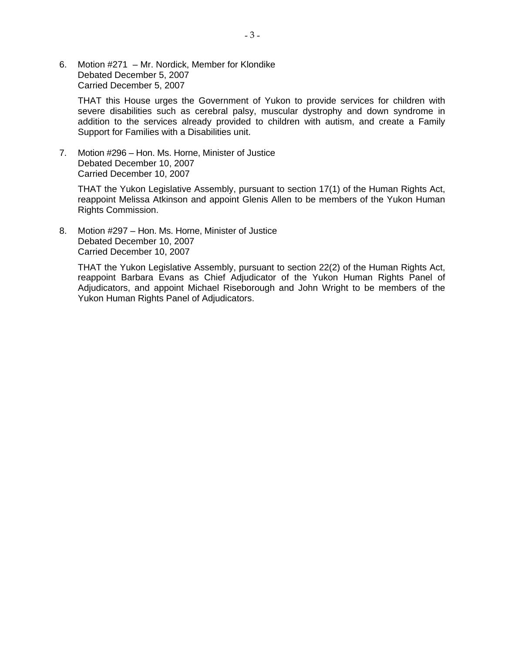6. Motion #271 – Mr. Nordick, Member for Klondike Debated December 5, 2007 Carried December 5, 2007

 THAT this House urges the Government of Yukon to provide services for children with severe disabilities such as cerebral palsy, muscular dystrophy and down syndrome in addition to the services already provided to children with autism, and create a Family Support for Families with a Disabilities unit.

7. Motion #296 – Hon. Ms. Horne, Minister of Justice Debated December 10, 2007 Carried December 10, 2007

 THAT the Yukon Legislative Assembly, pursuant to section 17(1) of the Human Rights Act, reappoint Melissa Atkinson and appoint Glenis Allen to be members of the Yukon Human Rights Commission.

8. Motion #297 – Hon. Ms. Horne, Minister of Justice Debated December 10, 2007 Carried December 10, 2007

 THAT the Yukon Legislative Assembly, pursuant to section 22(2) of the Human Rights Act, reappoint Barbara Evans as Chief Adjudicator of the Yukon Human Rights Panel of Adjudicators, and appoint Michael Riseborough and John Wright to be members of the Yukon Human Rights Panel of Adjudicators.